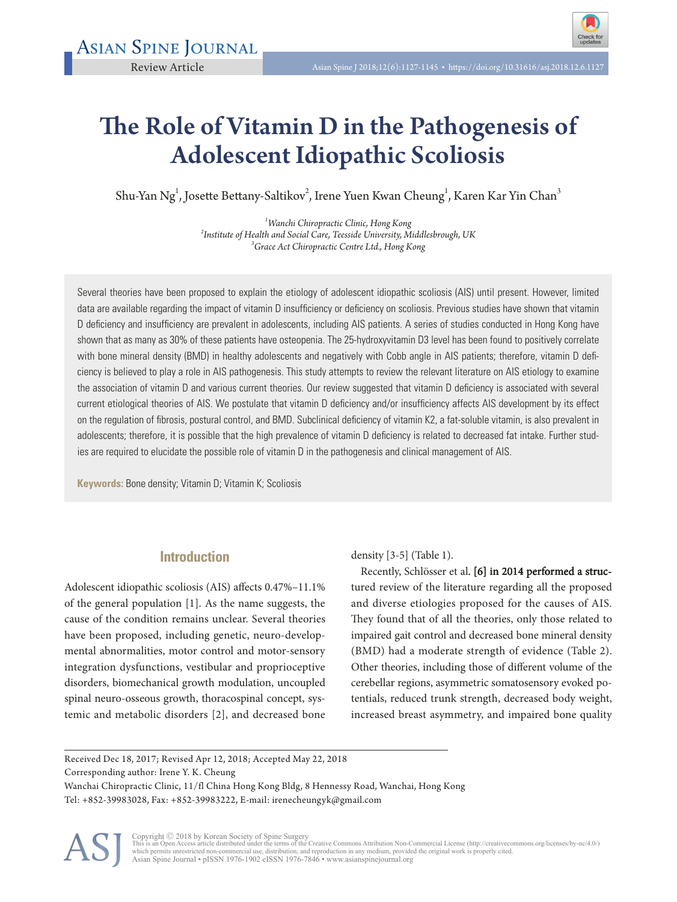# The Role of Vitamin D in the Pathogenesis of Adolescent Idiopathic Scoliosis

Shu-Yan Ng<sup>1</sup>, Josette Bettany-Saltikov<sup>2</sup>, Irene Yuen Kwan Cheung<sup>1</sup>, Karen Kar Yin Chan<sup>3</sup>

<sup>1</sup> Wanchi Chiropractic Clinic, Hong Kong *Wanchi Chiropractic Clinic, Hong Kong <sup>2</sup> Institute of Health and Social Care, Teesside University, Middlesbrough, UK <sup>3</sup> Grace Act Chiropractic Centre Ltd., Hong Kong*

Several theories have been proposed to explain the etiology of adolescent idiopathic scoliosis (AIS) until present. However, limited data are available regarding the impact of vitamin D insufficiency or deficiency on scoliosis. Previous studies have shown that vitamin D defciency and insuffciency are prevalent in adolescents, including AIS patients. A series of studies conducted in Hong Kong have shown that as many as 30% of these patients have osteopenia. The 25-hydroxyvitamin D3 level has been found to positively correlate with bone mineral density (BMD) in healthy adolescents and negatively with Cobb angle in AIS patients; therefore, vitamin D deficiency is believed to play a role in AIS pathogenesis. This study attempts to review the relevant literature on AIS etiology to examine the association of vitamin D and various current theories. Our review suggested that vitamin D defciency is associated with several current etiological theories of AIS. We postulate that vitamin D deficiency and/or insufficiency affects AIS development by its effect on the regulation of fbrosis, postural control, and BMD. Subclinical defciency of vitamin K2, a fat-soluble vitamin, is also prevalent in adolescents; therefore, it is possible that the high prevalence of vitamin D defciency is related to decreased fat intake. Further studies are required to elucidate the possible role of vitamin D in the pathogenesis and clinical management of AIS.

**Keywords:** Bone density; Vitamin D; Vitamin K; Scoliosis

# **Introduction**

Adolescent idiopathic scoliosis (AIS) affects 0.47%-11.1% of the general population [1]. As the name suggests, the cause of the condition remains unclear. Several theories have been proposed, including genetic, neuro-developmental abnormalities, motor control and motor-sensory integration dysfunctions, vestibular and proprioceptive disorders, biomechanical growth modulation, uncoupled spinal neuro-osseous growth, thoracospinal concept, systemic and metabolic disorders [2], and decreased bone

density [3-5] (Table 1).

Recently, Schlösser et al. [6] in 2014 performed a structured review of the literature regarding all the proposed and diverse etiologies proposed for the causes of AIS. They found that of all the theories, only those related to impaired gait control and decreased bone mineral density (BMD) had a moderate strength of evidence (Table 2). Other theories, including those of diferent volume of the cerebellar regions, asymmetric somatosensory evoked potentials, reduced trunk strength, decreased body weight, increased breast asymmetry, and impaired bone quality

Received Dec 18, 2017; Revised Apr 12, 2018; Accepted May 22, 2018

Corresponding author: Irene Y. K. Cheung

Wanchai Chiropractic Clinic, 11/fl China Hong Kong Bldg, 8 Hennessy Road, Wanchai, Hong Kong Tel: +852-39983028, Fax: +852-39983222, E-mail: irenecheungyk@gmail.com



Copyright © 2018 by Korean Society of Spine Surgery<br>This is an Open Access article distributed under the terms of the Creative Commons Attribution Non-Commercial License (http://creativecommons.org/licenses/by-nc/4.0/)<br>whi Asian Spine Journal • pISSN 1976-1902 eISSN 1976-7846 • www.asianspinejournal.org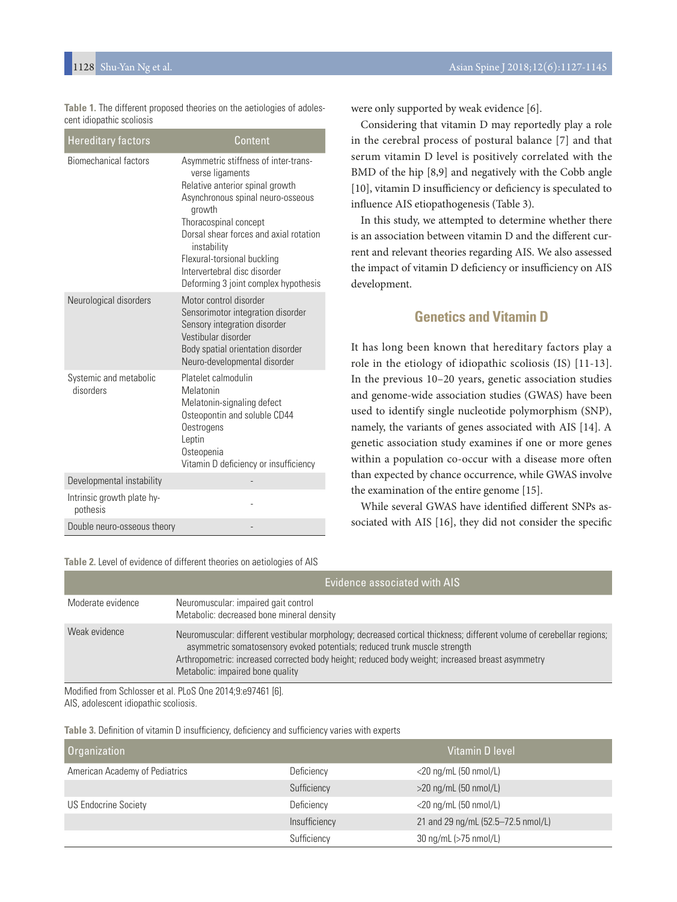Table 1. The different proposed theories on the aetiologies of adolescent idiopathic scoliosis

| <b>Hereditary factors</b>              | Content                                                                                                                                                                                                                                                                                                                            |
|----------------------------------------|------------------------------------------------------------------------------------------------------------------------------------------------------------------------------------------------------------------------------------------------------------------------------------------------------------------------------------|
| <b>Biomechanical factors</b>           | Asymmetric stiffness of inter-trans-<br>verse ligaments<br>Relative anterior spinal growth<br>Asynchronous spinal neuro-osseous<br>growth<br>Thoracospinal concept<br>Dorsal shear forces and axial rotation<br>instability<br>Flexural-torsional buckling<br>Intervertebral disc disorder<br>Deforming 3 joint complex hypothesis |
| Neurological disorders                 | Motor control disorder<br>Sensorimotor integration disorder<br>Sensory integration disorder<br>Vestibular disorder<br>Body spatial orientation disorder<br>Neuro-developmental disorder                                                                                                                                            |
| Systemic and metabolic<br>disorders    | Platelet calmodulin<br>Melatonin<br>Melatonin-signaling defect<br>Osteopontin and soluble CD44<br>Oestrogens<br>Leptin<br>Osteopenia<br>Vitamin D deficiency or insufficiency                                                                                                                                                      |
| Developmental instability              |                                                                                                                                                                                                                                                                                                                                    |
| Intrinsic growth plate hy-<br>pothesis |                                                                                                                                                                                                                                                                                                                                    |
| Double neuro-osseous theory            |                                                                                                                                                                                                                                                                                                                                    |

**Table 2.** Level of evidence of different theories on aetiologies of AIS

were only supported by weak evidence [6].

Considering that vitamin D may reportedly play a role in the cerebral process of postural balance [7] and that serum vitamin D level is positively correlated with the BMD of the hip [8,9] and negatively with the Cobb angle [10], vitamin D insufficiency or deficiency is speculated to infuence AIS etiopathogenesis (Table 3).

In this study, we attempted to determine whether there is an association between vitamin D and the diferent current and relevant theories regarding AIS. We also assessed the impact of vitamin D deficiency or insufficiency on AIS development.

# **Genetics and Vitamin D**

It has long been known that hereditary factors play a role in the etiology of idiopathic scoliosis (IS) [11-13]. In the previous 10–20 years, genetic association studies and genome-wide association studies (GWAS) have been used to identify single nucleotide polymorphism (SNP), namely, the variants of genes associated with AIS [14]. A genetic association study examines if one or more genes within a population co-occur with a disease more often than expected by chance occurrence, while GWAS involve the examination of the entire genome [15].

While several GWAS have identifed diferent SNPs associated with AIS [16], they did not consider the specifc

|                   | $\frac{1}{2}$ . The set of the state is the set of the set of the set of the set of $\frac{1}{2}$ . The set of $\frac{1}{2}$ is the set of $\frac{1}{2}$ is the set of $\frac{1}{2}$ is the set of $\frac{1}{2}$ is the set of $\frac{1}{2}$ is the set o                                                                                  |
|-------------------|--------------------------------------------------------------------------------------------------------------------------------------------------------------------------------------------------------------------------------------------------------------------------------------------------------------------------------------------|
|                   | Evidence associated with AIS                                                                                                                                                                                                                                                                                                               |
| Moderate evidence | Neuromuscular: impaired gait control<br>Metabolic: decreased bone mineral density                                                                                                                                                                                                                                                          |
| Weak evidence     | Neuromuscular: different vestibular morphology; decreased cortical thickness; different volume of cerebellar regions;<br>asymmetric somatosensory evoked potentials; reduced trunk muscle strength<br>Arthropometric: increased corrected body height; reduced body weight; increased breast asymmetry<br>Metabolic: impaired bone quality |
|                   |                                                                                                                                                                                                                                                                                                                                            |

Modifed from Schlosser et al. PLoS One 2014;9:e97461 [6]. AIS, adolescent idiopathic scoliosis.

Table 3. Definition of vitamin D insufficiency, deficiency and sufficiency varies with experts

| <b>Organization</b>            |               | Vitamin D level                    |
|--------------------------------|---------------|------------------------------------|
| American Academy of Pediatrics | Deficiency    | $<$ 20 ng/mL (50 nmol/L)           |
|                                | Sufficiency   | $>$ 20 ng/mL (50 nmol/L)           |
| <b>US Endocrine Society</b>    | Deficiency    | $<$ 20 ng/mL (50 nmol/L)           |
|                                | Insufficiency | 21 and 29 ng/mL (52.5-72.5 nmol/L) |
|                                | Sufficiency   | 30 ng/mL (>75 nmol/L)              |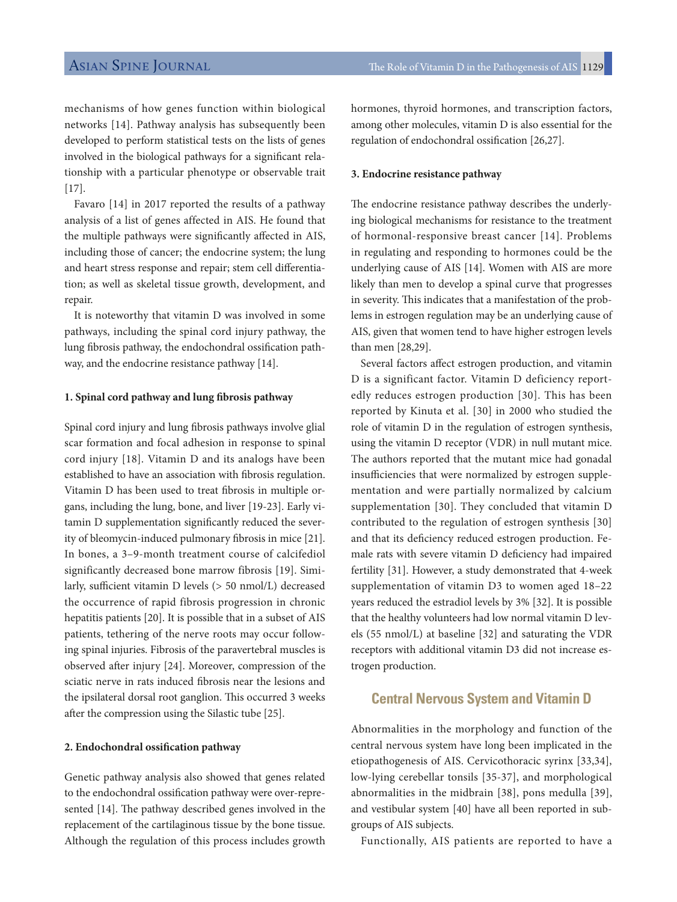mechanisms of how genes function within biological networks [14]. Pathway analysis has subsequently been developed to perform statistical tests on the lists of genes involved in the biological pathways for a signifcant relationship with a particular phenotype or observable trait  $[17]$ .

Favaro [14] in 2017 reported the results of a pathway analysis of a list of genes affected in AIS. He found that the multiple pathways were signifcantly afected in AIS, including those of cancer; the endocrine system; the lung and heart stress response and repair; stem cell diferentiation; as well as skeletal tissue growth, development, and repair.

It is noteworthy that vitamin D was involved in some pathways, including the spinal cord injury pathway, the lung fbrosis pathway, the endochondral ossifcation pathway, and the endocrine resistance pathway [14].

### **1. Spinal cord pathway and lung fbrosis pathway**

Spinal cord injury and lung fbrosis pathways involve glial scar formation and focal adhesion in response to spinal cord injury [18]. Vitamin D and its analogs have been established to have an association with fbrosis regulation. Vitamin D has been used to treat fbrosis in multiple organs, including the lung, bone, and liver [19-23]. Early vitamin D supplementation signifcantly reduced the severity of bleomycin-induced pulmonary fbrosis in mice [21]. In bones, a 3–9-month treatment course of calcifediol significantly decreased bone marrow fibrosis [19]. Similarly, sufficient vitamin D levels  $(> 50 \text{ nmol/L})$  decreased the occurrence of rapid fibrosis progression in chronic hepatitis patients [20]. It is possible that in a subset of AIS patients, tethering of the nerve roots may occur following spinal injuries. Fibrosis of the paravertebral muscles is observed afer injury [24]. Moreover, compression of the sciatic nerve in rats induced fbrosis near the lesions and the ipsilateral dorsal root ganglion. This occurred 3 weeks after the compression using the Silastic tube [25].

#### **2. Endochondral ossification pathway**

Genetic pathway analysis also showed that genes related to the endochondral ossifcation pathway were over-represented [14]. The pathway described genes involved in the replacement of the cartilaginous tissue by the bone tissue. Although the regulation of this process includes growth hormones, thyroid hormones, and transcription factors, among other molecules, vitamin D is also essential for the regulation of endochondral ossifcation [26,27].

#### **3. Endocrine resistance pathway**

The endocrine resistance pathway describes the underlying biological mechanisms for resistance to the treatment of hormonal-responsive breast cancer [14]. Problems in regulating and responding to hormones could be the underlying cause of AIS [14]. Women with AIS are more likely than men to develop a spinal curve that progresses in severity. This indicates that a manifestation of the problems in estrogen regulation may be an underlying cause of AIS, given that women tend to have higher estrogen levels than men [28,29].

Several factors afect estrogen production, and vitamin D is a significant factor. Vitamin D deficiency reportedly reduces estrogen production [30]. This has been reported by Kinuta et al. [30] in 2000 who studied the role of vitamin D in the regulation of estrogen synthesis, using the vitamin D receptor (VDR) in null mutant mice. The authors reported that the mutant mice had gonadal insufficiencies that were normalized by estrogen supplementation and were partially normalized by calcium supplementation [30]. They concluded that vitamin D contributed to the regulation of estrogen synthesis [30] and that its deficiency reduced estrogen production. Female rats with severe vitamin D defciency had impaired fertility [31]. However, a study demonstrated that 4-week supplementation of vitamin D3 to women aged 18–22 years reduced the estradiol levels by 3% [32]. It is possible that the healthy volunteers had low normal vitamin D levels (55 nmol/L) at baseline [32] and saturating the VDR receptors with additional vitamin D3 did not increase estrogen production.

# **Central Nervous System and Vitamin D**

Abnormalities in the morphology and function of the central nervous system have long been implicated in the etiopathogenesis of AIS. Cervicothoracic syrinx [33,34], low-lying cerebellar tonsils [35-37], and morphological abnormalities in the midbrain [38], pons medulla [39], and vestibular system [40] have all been reported in subgroups of AIS subjects.

Functionally, AIS patients are reported to have a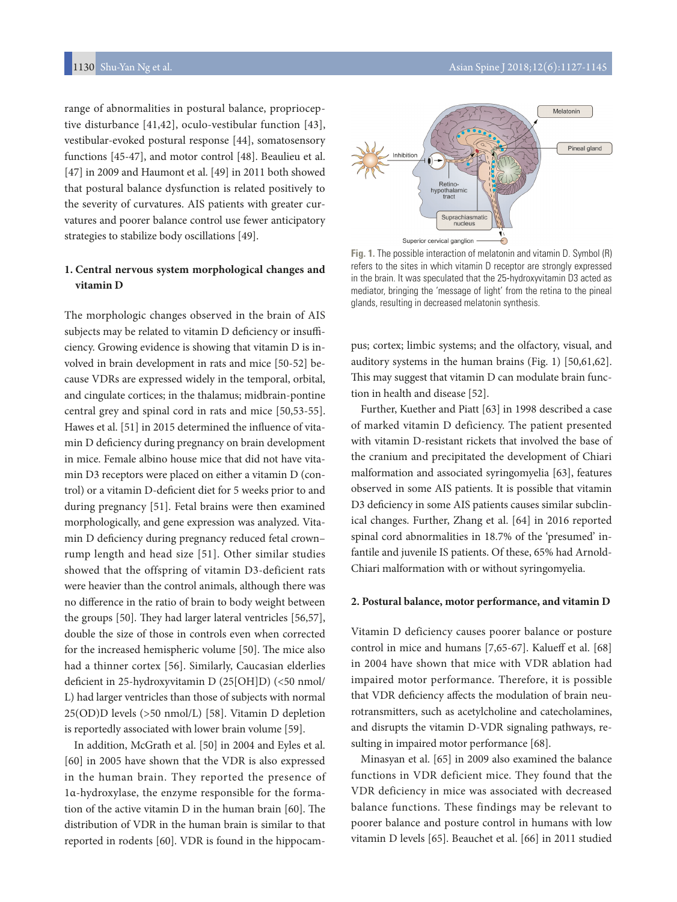range of abnormalities in postural balance, proprioceptive disturbance [41,42], oculo-vestibular function [43], vestibular-evoked postural response [44], somatosensory functions [45-47], and motor control [48]. Beaulieu et al. [47] in 2009 and Haumont et al. [49] in 2011 both showed that postural balance dysfunction is related positively to the severity of curvatures. AIS patients with greater curvatures and poorer balance control use fewer anticipatory strategies to stabilize body oscillations [49].

### **1. Central nervous system morphological changes and vitamin D**

The morphologic changes observed in the brain of AIS subjects may be related to vitamin D deficiency or insufficiency. Growing evidence is showing that vitamin D is involved in brain development in rats and mice [50-52] because VDRs are expressed widely in the temporal, orbital, and cingulate cortices; in the thalamus; midbrain-pontine central grey and spinal cord in rats and mice [50,53-55]. Hawes et al. [51] in 2015 determined the infuence of vitamin D defciency during pregnancy on brain development in mice. Female albino house mice that did not have vitamin D3 receptors were placed on either a vitamin D (control) or a vitamin D-defcient diet for 5 weeks prior to and during pregnancy [51]. Fetal brains were then examined morphologically, and gene expression was analyzed. Vitamin D deficiency during pregnancy reduced fetal crownrump length and head size [51]. Other similar studies showed that the offspring of vitamin D3-deficient rats were heavier than the control animals, although there was no diference in the ratio of brain to body weight between the groups  $[50]$ . They had larger lateral ventricles  $[56,57]$ , double the size of those in controls even when corrected for the increased hemispheric volume [50]. The mice also had a thinner cortex [56]. Similarly, Caucasian elderlies deficient in 25-hydroxyvitamin D (25[OH]D) (<50 nmol/ L) had larger ventricles than those of subjects with normal 25(OD)D levels (>50 nmol/L) [58]. Vitamin D depletion is reportedly associated with lower brain volume [59].

In addition, McGrath et al. [50] in 2004 and Eyles et al. [60] in 2005 have shown that the VDR is also expressed in the human brain. They reported the presence of 1α-hydroxylase, the enzyme responsible for the formation of the active vitamin  $D$  in the human brain [60]. The distribution of VDR in the human brain is similar to that reported in rodents [60]. VDR is found in the hippocam-



**Fig. 1.** The possible interaction of melatonin and vitamin D. Symbol (R) refers to the sites in which vitamin D receptor are strongly expressed in the brain. It was speculated that the 25-hydroxyvitamin D3 acted as mediator, bringing the 'message of light' from the retina to the pineal glands, resulting in decreased melatonin synthesis.

pus; cortex; limbic systems; and the olfactory, visual, and auditory systems in the human brains (Fig. 1) [50,61,62]. This may suggest that vitamin D can modulate brain function in health and disease [52].

Further, Kuether and Piatt [63] in 1998 described a case of marked vitamin D deficiency. The patient presented with vitamin D-resistant rickets that involved the base of the cranium and precipitated the development of Chiari malformation and associated syringomyelia [63], features observed in some AIS patients. It is possible that vitamin D3 deficiency in some AIS patients causes similar subclinical changes. Further, Zhang et al. [64] in 2016 reported spinal cord abnormalities in 18.7% of the 'presumed' infantile and juvenile IS patients. Of these, 65% had Arnold-Chiari malformation with or without syringomyelia.

### **2. Postural balance, motor performance, and vitamin D**

Vitamin D deficiency causes poorer balance or posture control in mice and humans [7,65-67]. Kalueff et al. [68] in 2004 have shown that mice with VDR ablation had impaired motor performance. Therefore, it is possible that VDR defciency afects the modulation of brain neurotransmitters, such as acetylcholine and catecholamines, and disrupts the vitamin D-VDR signaling pathways, resulting in impaired motor performance [68].

Minasyan et al. [65] in 2009 also examined the balance functions in VDR deficient mice. They found that the VDR deficiency in mice was associated with decreased balance functions. These findings may be relevant to poorer balance and posture control in humans with low vitamin D levels [65]. Beauchet et al. [66] in 2011 studied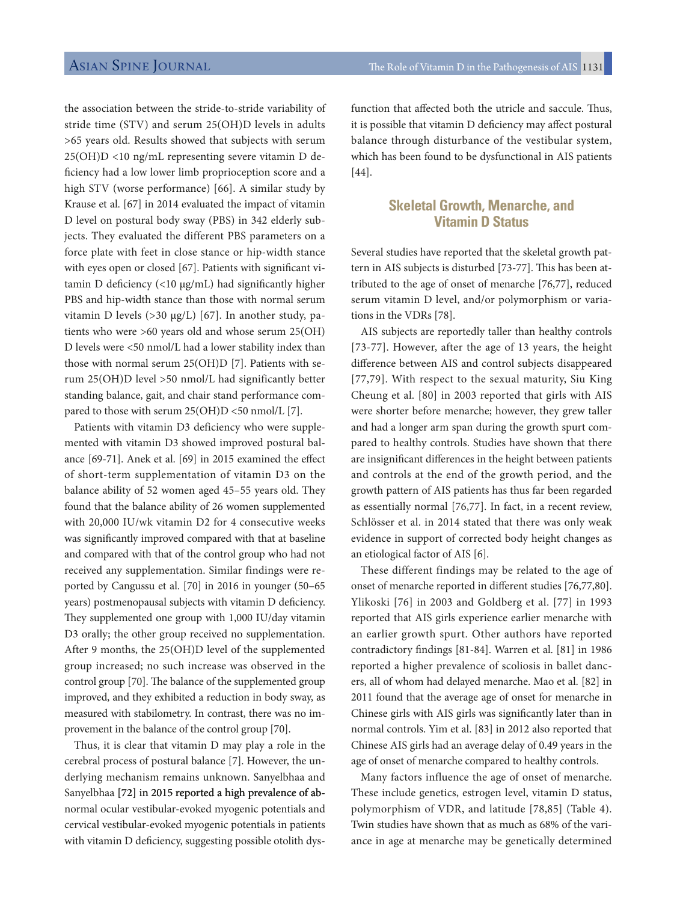the association between the stride-to-stride variability of stride time (STV) and serum 25(OH)D levels in adults >65 years old. Results showed that subjects with serum 25(OH)D <10 ng/mL representing severe vitamin D deficiency had a low lower limb proprioception score and a high STV (worse performance) [66]. A similar study by Krause et al. [67] in 2014 evaluated the impact of vitamin D level on postural body sway (PBS) in 342 elderly subjects. They evaluated the different PBS parameters on a force plate with feet in close stance or hip-width stance with eyes open or closed [67]. Patients with signifcant vitamin D defciency (<10 μg/mL) had signifcantly higher PBS and hip-width stance than those with normal serum vitamin D levels (>30 μg/L) [67]. In another study, patients who were >60 years old and whose serum 25(OH) D levels were <50 nmol/L had a lower stability index than those with normal serum 25(OH)D [7]. Patients with serum 25(OH)D level >50 nmol/L had significantly better standing balance, gait, and chair stand performance compared to those with serum 25(OH)D <50 nmol/L [7].

Patients with vitamin D3 deficiency who were supplemented with vitamin D3 showed improved postural balance [69-71]. Anek et al. [69] in 2015 examined the efect of short-term supplementation of vitamin D3 on the balance ability of 52 women aged 45–55 years old. They found that the balance ability of 26 women supplemented with 20,000 IU/wk vitamin D2 for 4 consecutive weeks was signifcantly improved compared with that at baseline and compared with that of the control group who had not received any supplementation. Similar findings were reported by Cangussu et al. [70] in 2016 in younger (50–65 years) postmenopausal subjects with vitamin D defciency. They supplemented one group with 1,000 IU/day vitamin D3 orally; the other group received no supplementation. After 9 months, the 25(OH)D level of the supplemented group increased; no such increase was observed in the control group [70]. The balance of the supplemented group improved, and they exhibited a reduction in body sway, as measured with stabilometry. In contrast, there was no improvement in the balance of the control group [70].

Thus, it is clear that vitamin D may play a role in the cerebral process of postural balance [7]. However, the underlying mechanism remains unknown. Sanyelbhaa and Sanyelbhaa **[72]** in 2015 reported a high prevalence of abnormal ocular vestibular-evoked myogenic potentials and cervical vestibular-evoked myogenic potentials in patients with vitamin D deficiency, suggesting possible otolith dys-

function that affected both the utricle and saccule. Thus, it is possible that vitamin D defciency may afect postural balance through disturbance of the vestibular system, which has been found to be dysfunctional in AIS patients [44].

# **Skeletal Growth, Menarche, and Vitamin D Status**

Several studies have reported that the skeletal growth pattern in AIS subjects is disturbed [73-77]. This has been attributed to the age of onset of menarche [76,77], reduced serum vitamin D level, and/or polymorphism or variations in the VDRs [78].

AIS subjects are reportedly taller than healthy controls [73-77]. However, after the age of 13 years, the height diference between AIS and control subjects disappeared [77,79]. With respect to the sexual maturity, Siu King Cheung et al. [80] in 2003 reported that girls with AIS were shorter before menarche; however, they grew taller and had a longer arm span during the growth spurt compared to healthy controls. Studies have shown that there are insignifcant diferences in the height between patients and controls at the end of the growth period, and the growth pattern of AIS patients has thus far been regarded as essentially normal [76,77]. In fact, in a recent review, Schlösser et al. in 2014 stated that there was only weak evidence in support of corrected body height changes as an etiological factor of AIS [6].

These different findings may be related to the age of onset of menarche reported in diferent studies [76,77,80]. Ylikoski [76] in 2003 and Goldberg et al. [77] in 1993 reported that AIS girls experience earlier menarche with an earlier growth spurt. Other authors have reported contradictory fndings [81-84]. Warren et al. [81] in 1986 reported a higher prevalence of scoliosis in ballet dancers, all of whom had delayed menarche. Mao et al. [82] in 2011 found that the average age of onset for menarche in Chinese girls with AIS girls was signifcantly later than in normal controls. Yim et al. [83] in 2012 also reported that Chinese AIS girls had an average delay of 0.49 years in the age of onset of menarche compared to healthy controls.

Many factors influence the age of onset of menarche. These include genetics, estrogen level, vitamin D status, polymorphism of VDR, and latitude [78,85] (Table 4). Twin studies have shown that as much as 68% of the variance in age at menarche may be genetically determined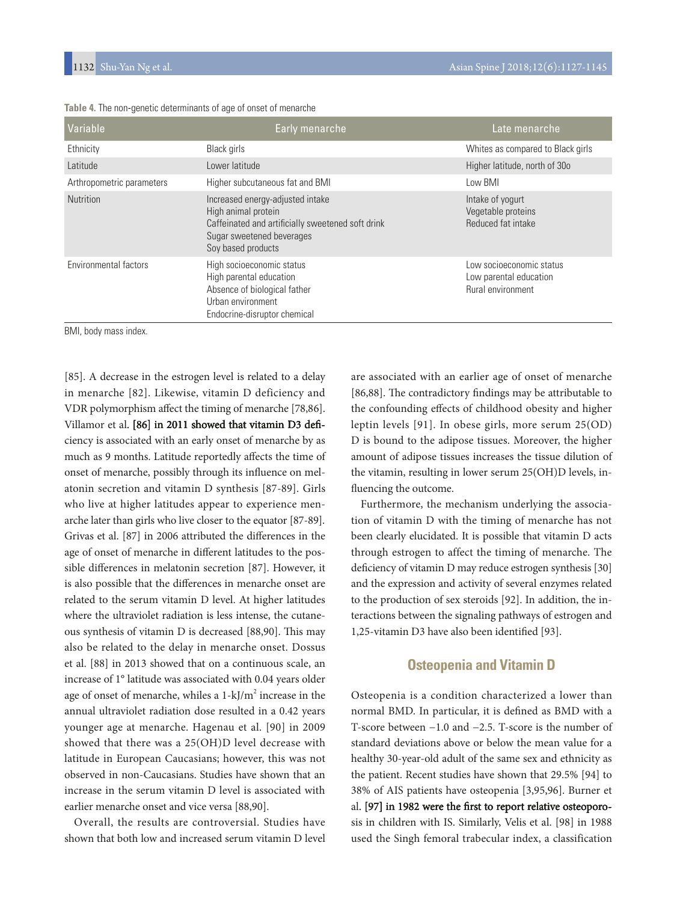| Variable                  | Early menarche                                                                                                                                                  | Late menarche                                                           |
|---------------------------|-----------------------------------------------------------------------------------------------------------------------------------------------------------------|-------------------------------------------------------------------------|
| Ethnicity                 | <b>Black</b> girls                                                                                                                                              | Whites as compared to Black girls                                       |
| Latitude                  | Lower latitude                                                                                                                                                  | Higher latitude, north of 30o                                           |
| Arthropometric parameters | Higher subcutaneous fat and BMI                                                                                                                                 | Low BMI                                                                 |
| <b>Nutrition</b>          | Increased energy-adjusted intake<br>High animal protein<br>Caffeinated and artificially sweetened soft drink<br>Sugar sweetened beverages<br>Soy based products | Intake of yogurt<br>Vegetable proteins<br>Reduced fat intake            |
| Environmental factors     | High socioeconomic status<br>High parental education<br>Absence of biological father<br>Urban environment<br>Endocrine-disruptor chemical                       | Low socioeconomic status<br>Low parental education<br>Rural environment |

**Table 4.** The non-genetic determinants of age of onset of menarche

BMI, body mass index.

[85]. A decrease in the estrogen level is related to a delay in menarche [82]. Likewise, vitamin D deficiency and VDR polymorphism afect the timing of menarche [78,86]. Villamor et al. [86] in 2011 showed that vitamin D3 deficiency is associated with an early onset of menarche by as much as 9 months. Latitude reportedly afects the time of onset of menarche, possibly through its infuence on melatonin secretion and vitamin D synthesis [87-89]. Girls who live at higher latitudes appear to experience menarche later than girls who live closer to the equator [87-89]. Grivas et al. [87] in 2006 attributed the diferences in the age of onset of menarche in diferent latitudes to the possible diferences in melatonin secretion [87]. However, it is also possible that the diferences in menarche onset are related to the serum vitamin D level. At higher latitudes where the ultraviolet radiation is less intense, the cutaneous synthesis of vitamin D is decreased [88,90]. This may also be related to the delay in menarche onset. Dossus et al. [88] in 2013 showed that on a continuous scale, an increase of 1° latitude was associated with 0.04 years older age of onset of menarche, whiles a  $1 - kJ/m^2$  increase in the annual ultraviolet radiation dose resulted in a 0.42 years younger age at menarche. Hagenau et al. [90] in 2009 showed that there was a 25(OH)D level decrease with latitude in European Caucasians; however, this was not observed in non-Caucasians. Studies have shown that an increase in the serum vitamin D level is associated with earlier menarche onset and vice versa [88,90].

Overall, the results are controversial. Studies have shown that both low and increased serum vitamin D level

are associated with an earlier age of onset of menarche [86,88]. The contradictory findings may be attributable to the confounding efects of childhood obesity and higher leptin levels [91]. In obese girls, more serum 25(OD) D is bound to the adipose tissues. Moreover, the higher amount of adipose tissues increases the tissue dilution of the vitamin, resulting in lower serum 25(OH)D levels, infuencing the outcome.

Furthermore, the mechanism underlying the association of vitamin D with the timing of menarche has not been clearly elucidated. It is possible that vitamin D acts through estrogen to affect the timing of menarche. The deficiency of vitamin D may reduce estrogen synthesis [30] and the expression and activity of several enzymes related to the production of sex steroids [92]. In addition, the interactions between the signaling pathways of estrogen and 1,25-vitamin D3 have also been identifed [93].

# **Osteopenia and Vitamin D**

Osteopenia is a condition characterized a lower than normal BMD. In particular, it is defned as BMD with a T-score between −1.0 and −2.5. T-score is the number of standard deviations above or below the mean value for a healthy 30-year-old adult of the same sex and ethnicity as the patient. Recent studies have shown that 29.5% [94] to 38% of AIS patients have osteopenia [3,95,96]. Burner et al. [97] in 1982 were the first to report relative osteoporosis in children with IS. Similarly, Velis et al. [98] in 1988 used the Singh femoral trabecular index, a classification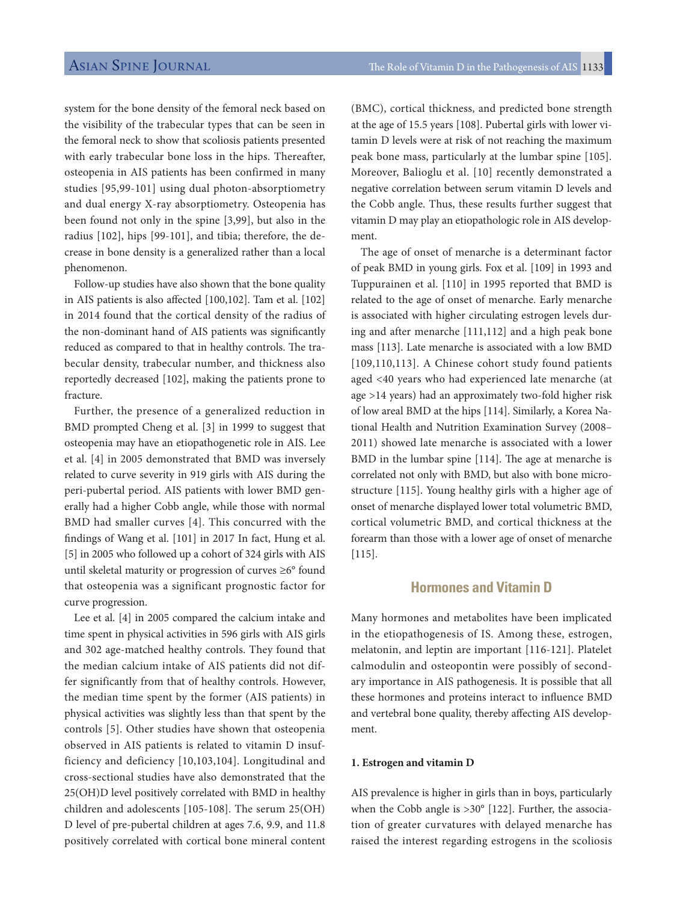system for the bone density of the femoral neck based on the visibility of the trabecular types that can be seen in the femoral neck to show that scoliosis patients presented with early trabecular bone loss in the hips. Thereafter, osteopenia in AIS patients has been confirmed in many studies [95,99-101] using dual photon-absorptiometry and dual energy X-ray absorptiometry. Osteopenia has been found not only in the spine [3,99], but also in the radius [102], hips [99-101], and tibia; therefore, the decrease in bone density is a generalized rather than a local phenomenon.

Follow-up studies have also shown that the bone quality in AIS patients is also afected [100,102]. Tam et al. [102] in 2014 found that the cortical density of the radius of the non-dominant hand of AIS patients was signifcantly reduced as compared to that in healthy controls. The trabecular density, trabecular number, and thickness also reportedly decreased [102], making the patients prone to fracture.

Further, the presence of a generalized reduction in BMD prompted Cheng et al. [3] in 1999 to suggest that osteopenia may have an etiopathogenetic role in AIS. Lee et al. [4] in 2005 demonstrated that BMD was inversely related to curve severity in 919 girls with AIS during the peri-pubertal period. AIS patients with lower BMD generally had a higher Cobb angle, while those with normal BMD had smaller curves [4]. This concurred with the fndings of Wang et al. [101] in 2017 In fact, Hung et al. [5] in 2005 who followed up a cohort of 324 girls with AIS until skeletal maturity or progression of curves ≥6° found that osteopenia was a significant prognostic factor for curve progression.

Lee et al. [4] in 2005 compared the calcium intake and time spent in physical activities in 596 girls with AIS girls and 302 age-matched healthy controls. They found that the median calcium intake of AIS patients did not differ significantly from that of healthy controls. However, the median time spent by the former (AIS patients) in physical activities was slightly less than that spent by the controls [5]. Other studies have shown that osteopenia observed in AIS patients is related to vitamin D insufficiency and deficiency [10,103,104]. Longitudinal and cross-sectional studies have also demonstrated that the 25(OH)D level positively correlated with BMD in healthy children and adolescents [105-108]. The serum 25(OH) D level of pre-pubertal children at ages 7.6, 9.9, and 11.8 positively correlated with cortical bone mineral content

(BMC), cortical thickness, and predicted bone strength at the age of 15.5 years [108]. Pubertal girls with lower vitamin D levels were at risk of not reaching the maximum peak bone mass, particularly at the lumbar spine [105]. Moreover, Balioglu et al. [10] recently demonstrated a negative correlation between serum vitamin D levels and the Cobb angle. Thus, these results further suggest that vitamin D may play an etiopathologic role in AIS development.

The age of onset of menarche is a determinant factor of peak BMD in young girls. Fox et al. [109] in 1993 and Tuppurainen et al. [110] in 1995 reported that BMD is related to the age of onset of menarche. Early menarche is associated with higher circulating estrogen levels during and after menarche [111,112] and a high peak bone mass [113]. Late menarche is associated with a low BMD [109,110,113]. A Chinese cohort study found patients aged <40 years who had experienced late menarche (at age >14 years) had an approximately two-fold higher risk of low areal BMD at the hips [114]. Similarly, a Korea National Health and Nutrition Examination Survey (2008– 2011) showed late menarche is associated with a lower BMD in the lumbar spine [114]. The age at menarche is correlated not only with BMD, but also with bone microstructure [115]. Young healthy girls with a higher age of onset of menarche displayed lower total volumetric BMD, cortical volumetric BMD, and cortical thickness at the forearm than those with a lower age of onset of menarche [115].

## **Hormones and Vitamin D**

Many hormones and metabolites have been implicated in the etiopathogenesis of IS. Among these, estrogen, melatonin, and leptin are important [116-121]. Platelet calmodulin and osteopontin were possibly of secondary importance in AIS pathogenesis. It is possible that all these hormones and proteins interact to infuence BMD and vertebral bone quality, thereby afecting AIS development.

### **1. Estrogen and vitamin D**

AIS prevalence is higher in girls than in boys, particularly when the Cobb angle is >30° [122]. Further, the association of greater curvatures with delayed menarche has raised the interest regarding estrogens in the scoliosis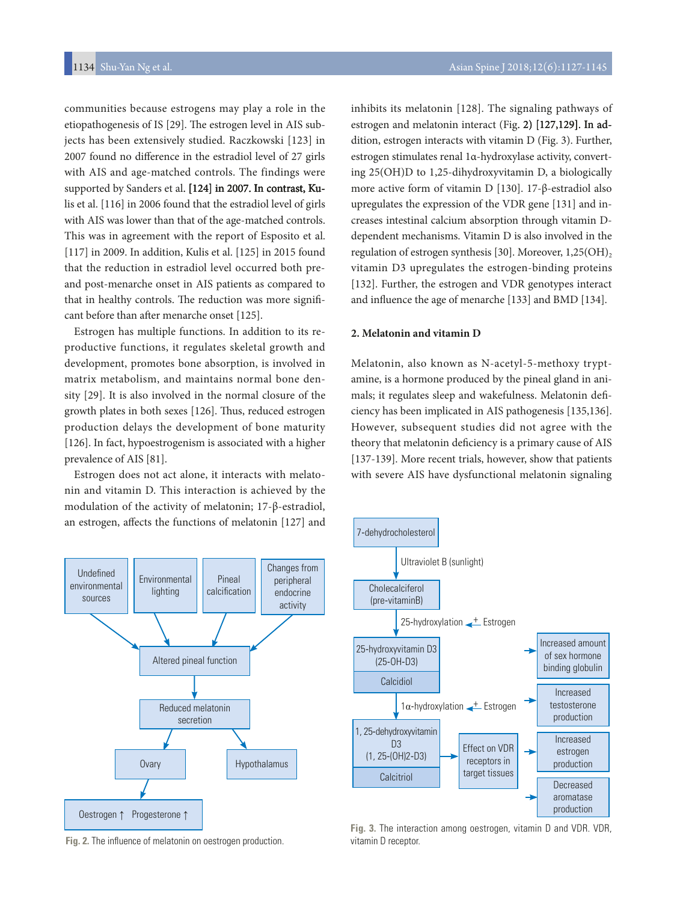communities because estrogens may play a role in the etiopathogenesis of IS [29]. The estrogen level in AIS subjects has been extensively studied. Raczkowski [123] in 2007 found no diference in the estradiol level of 27 girls with AIS and age-matched controls. The findings were supported by Sanders et al. [124] in 2007. In contrast, Kulis et al. [116] in 2006 found that the estradiol level of girls with AIS was lower than that of the age-matched controls. This was in agreement with the report of Esposito et al. [117] in 2009. In addition, Kulis et al. [125] in 2015 found that the reduction in estradiol level occurred both preand post-menarche onset in AIS patients as compared to that in healthy controls. The reduction was more significant before than after menarche onset [125].

Estrogen has multiple functions. In addition to its reproductive functions, it regulates skeletal growth and development, promotes bone absorption, is involved in matrix metabolism, and maintains normal bone density [29]. It is also involved in the normal closure of the growth plates in both sexes [126]. Thus, reduced estrogen production delays the development of bone maturity [126]. In fact, hypoestrogenism is associated with a higher prevalence of AIS [81].

Estrogen does not act alone, it interacts with melatonin and vitamin D. This interaction is achieved by the modulation of the activity of melatonin; 17-β-estradiol, an estrogen, afects the functions of melatonin [127] and

> Pineal calcification

Changes from peripheral endocrine activity

Altered pineal function

Environmental lighting

**Undefined** environmental sources

inhibits its melatonin [128]. The signaling pathways of estrogen and melatonin interact (Fig. 2) [127,129]. In addition, estrogen interacts with vitamin D (Fig. 3). Further, estrogen stimulates renal 1α-hydroxylase activity, converting 25(OH)D to 1,25-dihydroxyvitamin D, a biologically more active form of vitamin D [130]. 17-β-estradiol also upregulates the expression of the VDR gene [131] and increases intestinal calcium absorption through vitamin Ddependent mechanisms. Vitamin D is also involved in the regulation of estrogen synthesis [30]. Moreover,  $1,25(OH)$ , vitamin D3 upregulates the estrogen-binding proteins [132]. Further, the estrogen and VDR genotypes interact and infuence the age of menarche [133] and BMD [134].

#### **2. Melatonin and vitamin D**

Melatonin, also known as N-acetyl-5-methoxy tryptamine, is a hormone produced by the pineal gland in animals; it regulates sleep and wakefulness. Melatonin defciency has been implicated in AIS pathogenesis [135,136]. However, subsequent studies did not agree with the theory that melatonin defciency is a primary cause of AIS [137-139]. More recent trials, however, show that patients with severe AIS have dysfunctional melatonin signaling





**Fig. 3.** The interaction among oestrogen, vitamin D and VDR. VDR, vitamin D receptor.

**Fig. 2.** The infuence of melatonin on oestrogen production.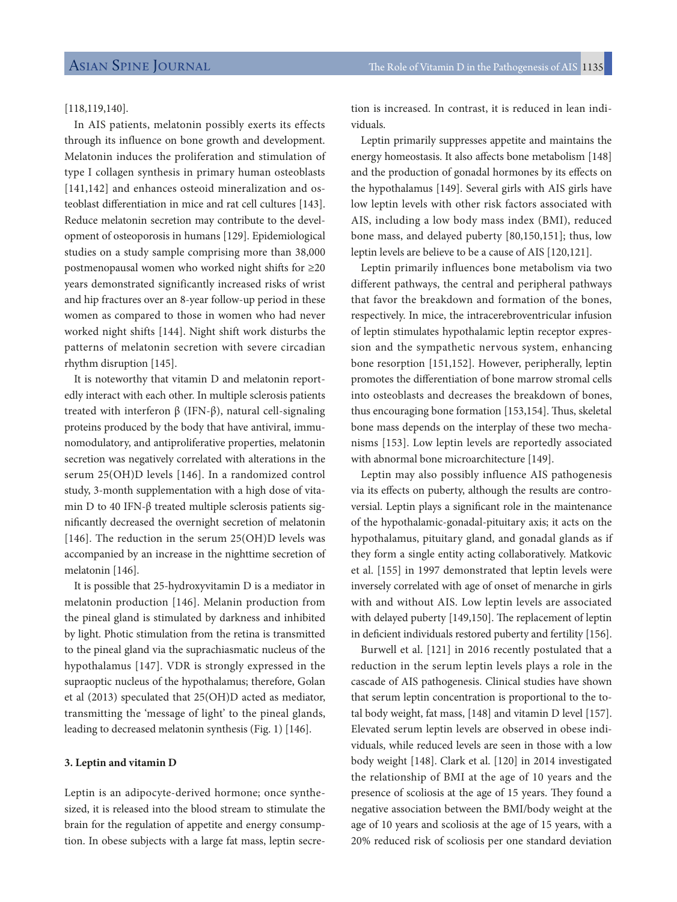### [118,119,140].

In AIS patients, melatonin possibly exerts its effects through its influence on bone growth and development. Melatonin induces the proliferation and stimulation of type I collagen synthesis in primary human osteoblasts [141,142] and enhances osteoid mineralization and osteoblast diferentiation in mice and rat cell cultures [143]. Reduce melatonin secretion may contribute to the development of osteoporosis in humans [129]. Epidemiological studies on a study sample comprising more than 38,000 postmenopausal women who worked night shifs for ≥20 years demonstrated significantly increased risks of wrist and hip fractures over an 8-year follow-up period in these women as compared to those in women who had never worked night shifts [144]. Night shift work disturbs the patterns of melatonin secretion with severe circadian rhythm disruption [145].

It is noteworthy that vitamin D and melatonin reportedly interact with each other. In multiple sclerosis patients treated with interferon β (IFN-β), natural cell-signaling proteins produced by the body that have antiviral, immunomodulatory, and antiproliferative properties, melatonin secretion was negatively correlated with alterations in the serum 25(OH)D levels [146]. In a randomized control study, 3-month supplementation with a high dose of vitamin D to 40 IFN-β treated multiple sclerosis patients signifcantly decreased the overnight secretion of melatonin [146]. The reduction in the serum 25(OH)D levels was accompanied by an increase in the nighttime secretion of melatonin [146].

It is possible that 25-hydroxyvitamin D is a mediator in melatonin production [146]. Melanin production from the pineal gland is stimulated by darkness and inhibited by light. Photic stimulation from the retina is transmitted to the pineal gland via the suprachiasmatic nucleus of the hypothalamus [147]. VDR is strongly expressed in the supraoptic nucleus of the hypothalamus; therefore, Golan et al (2013) speculated that 25(OH)D acted as mediator, transmitting the 'message of light' to the pineal glands, leading to decreased melatonin synthesis (Fig. 1) [146].

#### **3. Leptin and vitamin D**

Leptin is an adipocyte-derived hormone; once synthesized, it is released into the blood stream to stimulate the brain for the regulation of appetite and energy consumption. In obese subjects with a large fat mass, leptin secre-

tion is increased. In contrast, it is reduced in lean individuals.

Leptin primarily suppresses appetite and maintains the energy homeostasis. It also afects bone metabolism [148] and the production of gonadal hormones by its efects on the hypothalamus [149]. Several girls with AIS girls have low leptin levels with other risk factors associated with AIS, including a low body mass index (BMI), reduced bone mass, and delayed puberty [80,150,151]; thus, low leptin levels are believe to be a cause of AIS [120,121].

Leptin primarily influences bone metabolism via two different pathways, the central and peripheral pathways that favor the breakdown and formation of the bones, respectively. In mice, the intracerebroventricular infusion of leptin stimulates hypothalamic leptin receptor expression and the sympathetic nervous system, enhancing bone resorption [151,152]. However, peripherally, leptin promotes the diferentiation of bone marrow stromal cells into osteoblasts and decreases the breakdown of bones, thus encouraging bone formation [153,154]. Thus, skeletal bone mass depends on the interplay of these two mechanisms [153]. Low leptin levels are reportedly associated with abnormal bone microarchitecture [149].

Leptin may also possibly influence AIS pathogenesis via its efects on puberty, although the results are controversial. Leptin plays a signifcant role in the maintenance of the hypothalamic-gonadal-pituitary axis; it acts on the hypothalamus, pituitary gland, and gonadal glands as if they form a single entity acting collaboratively. Matkovic et al. [155] in 1997 demonstrated that leptin levels were inversely correlated with age of onset of menarche in girls with and without AIS. Low leptin levels are associated with delayed puberty [149,150]. The replacement of leptin in deficient individuals restored puberty and fertility [156].

Burwell et al. [121] in 2016 recently postulated that a reduction in the serum leptin levels plays a role in the cascade of AIS pathogenesis. Clinical studies have shown that serum leptin concentration is proportional to the total body weight, fat mass, [148] and vitamin D level [157]. Elevated serum leptin levels are observed in obese individuals, while reduced levels are seen in those with a low body weight [148]. Clark et al. [120] in 2014 investigated the relationship of BMI at the age of 10 years and the presence of scoliosis at the age of 15 years. They found a negative association between the BMI/body weight at the age of 10 years and scoliosis at the age of 15 years, with a 20% reduced risk of scoliosis per one standard deviation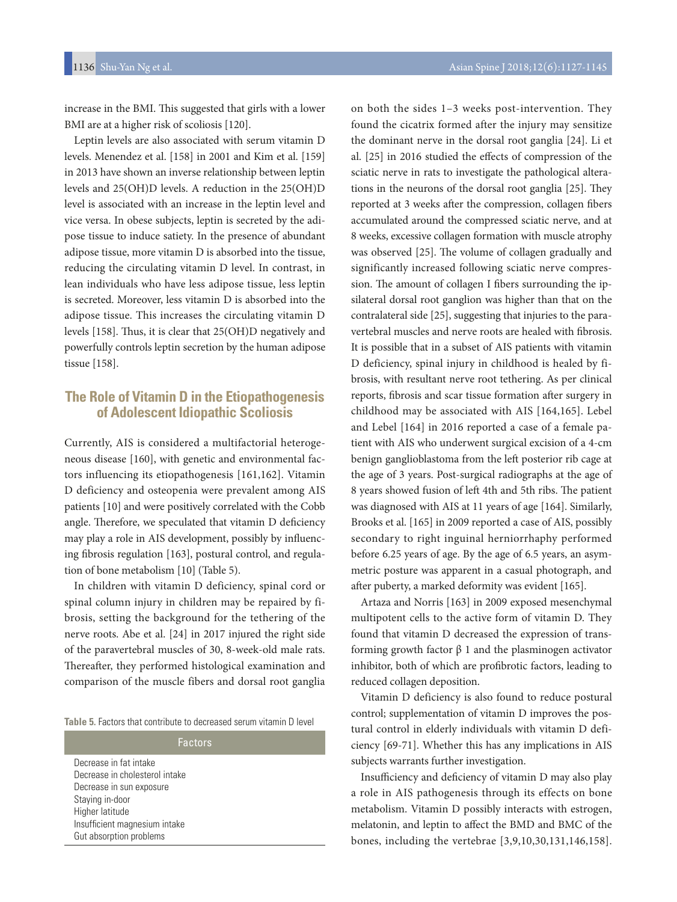increase in the BMI. This suggested that girls with a lower BMI are at a higher risk of scoliosis [120].

Leptin levels are also associated with serum vitamin D levels. Menendez et al. [158] in 2001 and Kim et al. [159] in 2013 have shown an inverse relationship between leptin levels and 25(OH)D levels. A reduction in the 25(OH)D level is associated with an increase in the leptin level and vice versa. In obese subjects, leptin is secreted by the adipose tissue to induce satiety. In the presence of abundant adipose tissue, more vitamin D is absorbed into the tissue, reducing the circulating vitamin D level. In contrast, in lean individuals who have less adipose tissue, less leptin is secreted. Moreover, less vitamin D is absorbed into the adipose tissue. This increases the circulating vitamin D levels [158]. Thus, it is clear that 25(OH)D negatively and powerfully controls leptin secretion by the human adipose tissue [158].

# **The Role of Vitamin D in the Etiopathogenesis of Adolescent Idiopathic Scoliosis**

Currently, AIS is considered a multifactorial heterogeneous disease [160], with genetic and environmental factors influencing its etiopathogenesis [161,162]. Vitamin D deficiency and osteopenia were prevalent among AIS patients [10] and were positively correlated with the Cobb angle. Therefore, we speculated that vitamin D deficiency may play a role in AIS development, possibly by infuencing fbrosis regulation [163], postural control, and regulation of bone metabolism [10] (Table 5).

In children with vitamin D deficiency, spinal cord or spinal column injury in children may be repaired by fibrosis, setting the background for the tethering of the nerve roots. Abe et al. [24] in 2017 injured the right side of the paravertebral muscles of 30, 8-week-old male rats. Thereafter, they performed histological examination and comparison of the muscle fibers and dorsal root ganglia

| <b>Table 5.</b> Factors that contribute to decreased serum vitamin D level |  |
|----------------------------------------------------------------------------|--|
|----------------------------------------------------------------------------|--|

| Factors                        |
|--------------------------------|
| Decrease in fat intake         |
| Decrease in cholesterol intake |
| Decrease in sun exposure       |
| Staying in-door                |
| Higher latitude                |
| Insufficient magnesium intake  |
| Gut absorption problems        |

on both the sides 1–3 weeks post-intervention. They found the cicatrix formed after the injury may sensitize the dominant nerve in the dorsal root ganglia [24]. Li et al. [25] in 2016 studied the efects of compression of the sciatic nerve in rats to investigate the pathological alterations in the neurons of the dorsal root ganglia [25]. They reported at 3 weeks after the compression, collagen fibers accumulated around the compressed sciatic nerve, and at 8 weeks, excessive collagen formation with muscle atrophy was observed [25]. The volume of collagen gradually and significantly increased following sciatic nerve compression. The amount of collagen I fibers surrounding the ipsilateral dorsal root ganglion was higher than that on the contralateral side [25], suggesting that injuries to the paravertebral muscles and nerve roots are healed with fbrosis. It is possible that in a subset of AIS patients with vitamin D deficiency, spinal injury in childhood is healed by fibrosis, with resultant nerve root tethering. As per clinical reports, fibrosis and scar tissue formation after surgery in childhood may be associated with AIS [164,165]. Lebel and Lebel [164] in 2016 reported a case of a female patient with AIS who underwent surgical excision of a 4-cm benign ganglioblastoma from the left posterior rib cage at the age of 3 years. Post-surgical radiographs at the age of 8 years showed fusion of left 4th and 5th ribs. The patient was diagnosed with AIS at 11 years of age [164]. Similarly, Brooks et al. [165] in 2009 reported a case of AIS, possibly secondary to right inguinal herniorrhaphy performed before 6.25 years of age. By the age of 6.5 years, an asymmetric posture was apparent in a casual photograph, and after puberty, a marked deformity was evident [165].

Artaza and Norris [163] in 2009 exposed mesenchymal multipotent cells to the active form of vitamin D. They found that vitamin D decreased the expression of transforming growth factor β 1 and the plasminogen activator inhibitor, both of which are profbrotic factors, leading to reduced collagen deposition.

Vitamin D deficiency is also found to reduce postural control; supplementation of vitamin D improves the postural control in elderly individuals with vitamin D deficiency [69-71]. Whether this has any implications in AIS subjects warrants further investigation.

Insufficiency and deficiency of vitamin D may also play a role in AIS pathogenesis through its effects on bone metabolism. Vitamin D possibly interacts with estrogen, melatonin, and leptin to afect the BMD and BMC of the bones, including the vertebrae [3,9,10,30,131,146,158].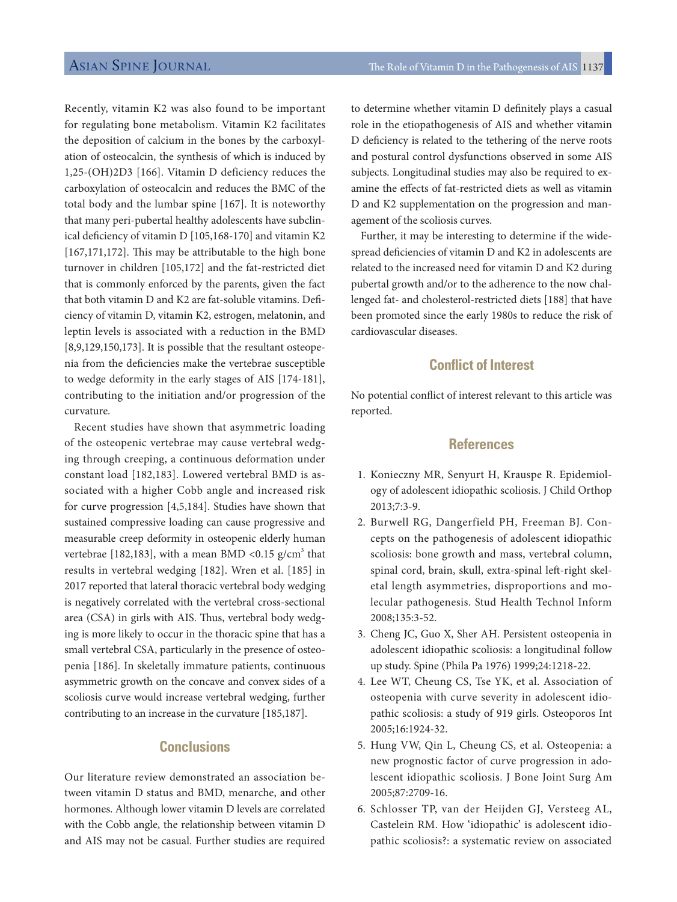Recently, vitamin K2 was also found to be important for regulating bone metabolism. Vitamin K2 facilitates the deposition of calcium in the bones by the carboxylation of osteocalcin, the synthesis of which is induced by 1,25-(OH)2D3 [166]. Vitamin D deficiency reduces the carboxylation of osteocalcin and reduces the BMC of the total body and the lumbar spine [167]. It is noteworthy that many peri-pubertal healthy adolescents have subclinical defciency of vitamin D [105,168-170] and vitamin K2  $[167,171,172]$ . This may be attributable to the high bone turnover in children [105,172] and the fat-restricted diet that is commonly enforced by the parents, given the fact that both vitamin D and K2 are fat-soluble vitamins. Defciency of vitamin D, vitamin K2, estrogen, melatonin, and leptin levels is associated with a reduction in the BMD [8,9,129,150,173]. It is possible that the resultant osteopenia from the defciencies make the vertebrae susceptible to wedge deformity in the early stages of AIS [174-181], contributing to the initiation and/or progression of the curvature.

Recent studies have shown that asymmetric loading of the osteopenic vertebrae may cause vertebral wedging through creeping, a continuous deformation under constant load [182,183]. Lowered vertebral BMD is associated with a higher Cobb angle and increased risk for curve progression [4,5,184]. Studies have shown that sustained compressive loading can cause progressive and measurable creep deformity in osteopenic elderly human vertebrae [182,183], with a mean BMD <0.15  $\rm g/cm^3$  that results in vertebral wedging [182]. Wren et al. [185] in 2017 reported that lateral thoracic vertebral body wedging is negatively correlated with the vertebral cross-sectional area (CSA) in girls with AIS. Thus, vertebral body wedging is more likely to occur in the thoracic spine that has a small vertebral CSA, particularly in the presence of osteopenia [186]. In skeletally immature patients, continuous asymmetric growth on the concave and convex sides of a scoliosis curve would increase vertebral wedging, further contributing to an increase in the curvature [185,187].

# **Conclusions**

Our literature review demonstrated an association between vitamin D status and BMD, menarche, and other hormones. Although lower vitamin D levels are correlated with the Cobb angle, the relationship between vitamin D and AIS may not be casual. Further studies are required to determine whether vitamin D defnitely plays a casual role in the etiopathogenesis of AIS and whether vitamin D defciency is related to the tethering of the nerve roots and postural control dysfunctions observed in some AIS subjects. Longitudinal studies may also be required to examine the efects of fat-restricted diets as well as vitamin D and K2 supplementation on the progression and management of the scoliosis curves.

Further, it may be interesting to determine if the widespread deficiencies of vitamin D and K2 in adolescents are related to the increased need for vitamin D and K2 during pubertal growth and/or to the adherence to the now challenged fat- and cholesterol-restricted diets [188] that have been promoted since the early 1980s to reduce the risk of cardiovascular diseases.

# **Confict of Interest**

No potential confict of interest relevant to this article was reported.

# **References**

- 1. Konieczny MR, Senyurt H, Krauspe R. Epidemiology of adolescent idiopathic scoliosis. J Child Orthop 2013;7:3-9.
- 2. Burwell RG, Dangerfield PH, Freeman BJ. Concepts on the pathogenesis of adolescent idiopathic scoliosis: bone growth and mass, vertebral column, spinal cord, brain, skull, extra-spinal left-right skeletal length asymmetries, disproportions and molecular pathogenesis. Stud Health Technol Inform 2008;135:3-52.
- 3. Cheng JC, Guo X, Sher AH. Persistent osteopenia in adolescent idiopathic scoliosis: a longitudinal follow up study. Spine (Phila Pa 1976) 1999;24:1218-22.
- 4. Lee WT, Cheung CS, Tse YK, et al. Association of osteopenia with curve severity in adolescent idiopathic scoliosis: a study of 919 girls. Osteoporos Int 2005;16:1924-32.
- 5. Hung VW, Qin L, Cheung CS, et al. Osteopenia: a new prognostic factor of curve progression in adolescent idiopathic scoliosis. J Bone Joint Surg Am 2005;87:2709-16.
- 6. Schlosser TP, van der Heijden GJ, Versteeg AL, Castelein RM. How 'idiopathic' is adolescent idiopathic scoliosis?: a systematic review on associated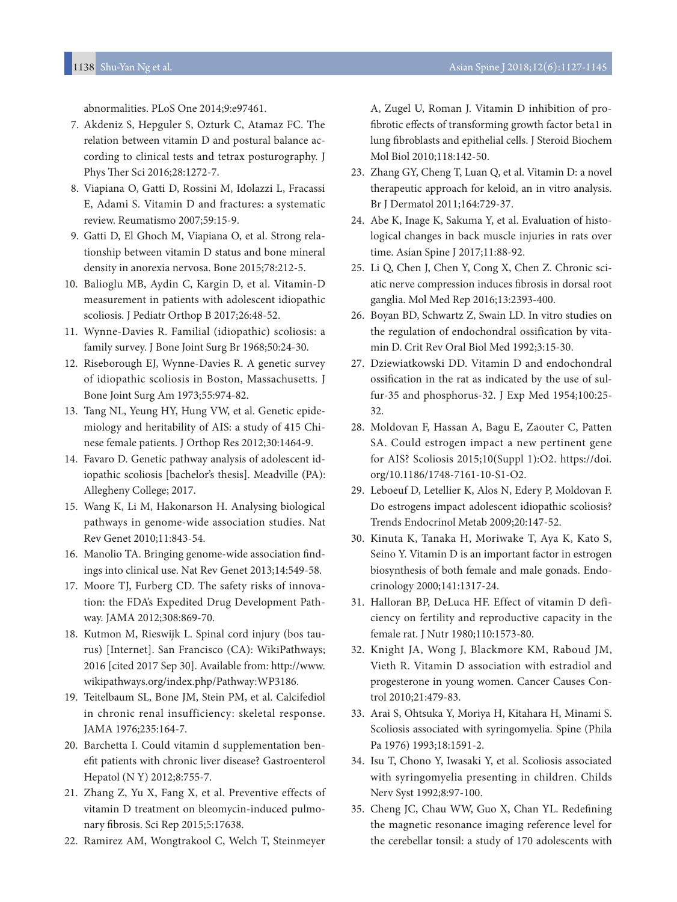abnormalities. PLoS One 2014;9:e97461.

- 7. Akdeniz S, Hepguler S, Ozturk C, Atamaz FC. The relation between vitamin D and postural balance according to clinical tests and tetrax posturography. J Phys Ther Sci 2016;28:1272-7.
- 8. Viapiana O, Gatti D, Rossini M, Idolazzi L, Fracassi E, Adami S. Vitamin D and fractures: a systematic review. Reumatismo 2007;59:15-9.
- 9. Gatti D, El Ghoch M, Viapiana O, et al. Strong relationship between vitamin D status and bone mineral density in anorexia nervosa. Bone 2015;78:212-5.
- 10. Balioglu MB, Aydin C, Kargin D, et al. Vitamin-D measurement in patients with adolescent idiopathic scoliosis. J Pediatr Orthop B 2017;26:48-52.
- 11. Wynne-Davies R. Familial (idiopathic) scoliosis: a family survey. J Bone Joint Surg Br 1968;50:24-30.
- 12. Riseborough EJ, Wynne-Davies R. A genetic survey of idiopathic scoliosis in Boston, Massachusetts. J Bone Joint Surg Am 1973;55:974-82.
- 13. Tang NL, Yeung HY, Hung VW, et al. Genetic epidemiology and heritability of AIS: a study of 415 Chinese female patients. J Orthop Res 2012;30:1464-9.
- 14. Favaro D. Genetic pathway analysis of adolescent idiopathic scoliosis [bachelor's thesis]. Meadville (PA): Allegheny College; 2017.
- 15. Wang K, Li M, Hakonarson H. Analysing biological pathways in genome-wide association studies. Nat Rev Genet 2010;11:843-54.
- 16. Manolio TA. Bringing genome-wide association fndings into clinical use. Nat Rev Genet 2013;14:549-58.
- 17. Moore TJ, Furberg CD. The safety risks of innovation: the FDA's Expedited Drug Development Pathway. JAMA 2012;308:869-70.
- 18. Kutmon M, Rieswijk L. Spinal cord injury (bos taurus) [Internet]. San Francisco (CA): WikiPathways; 2016 [cited 2017 Sep 30]. Available from: http://www. wikipathways.org/index.php/Pathway:WP3186.
- 19. Teitelbaum SL, Bone JM, Stein PM, et al. Calcifediol in chronic renal insufficiency: skeletal response. JAMA 1976;235:164-7.
- 20. Barchetta I. Could vitamin d supplementation beneft patients with chronic liver disease? Gastroenterol Hepatol (N Y) 2012;8:755-7.
- 21. Zhang Z, Yu X, Fang X, et al. Preventive effects of vitamin D treatment on bleomycin-induced pulmonary fbrosis. Sci Rep 2015;5:17638.
- 22. Ramirez AM, Wongtrakool C, Welch T, Steinmeyer

A, Zugel U, Roman J. Vitamin D inhibition of profbrotic efects of transforming growth factor beta1 in lung fbroblasts and epithelial cells. J Steroid Biochem Mol Biol 2010;118:142-50.

- 23. Zhang GY, Cheng T, Luan Q, et al. Vitamin D: a novel therapeutic approach for keloid, an in vitro analysis. Br J Dermatol 2011;164:729-37.
- 24. Abe K, Inage K, Sakuma Y, et al. Evaluation of histological changes in back muscle injuries in rats over time. Asian Spine J 2017;11:88-92.
- 25. Li Q, Chen J, Chen Y, Cong X, Chen Z. Chronic sciatic nerve compression induces fbrosis in dorsal root ganglia. Mol Med Rep 2016;13:2393-400.
- 26. Boyan BD, Schwartz Z, Swain LD. In vitro studies on the regulation of endochondral ossification by vitamin D. Crit Rev Oral Biol Med 1992;3:15-30.
- 27. Dziewiatkowski DD. Vitamin D and endochondral ossifcation in the rat as indicated by the use of sulfur-35 and phosphorus-32. J Exp Med 1954;100:25- 32.
- 28. Moldovan F, Hassan A, Bagu E, Zaouter C, Patten SA. Could estrogen impact a new pertinent gene for AIS? Scoliosis 2015;10(Suppl 1):O2. https://doi. org/10.1186/1748-7161-10-S1-O2.
- 29. Leboeuf D, Letellier K, Alos N, Edery P, Moldovan F. Do estrogens impact adolescent idiopathic scoliosis? Trends Endocrinol Metab 2009;20:147-52.
- 30. Kinuta K, Tanaka H, Moriwake T, Aya K, Kato S, Seino Y. Vitamin D is an important factor in estrogen biosynthesis of both female and male gonads. Endocrinology 2000;141:1317-24.
- 31. Halloran BP, DeLuca HF. Effect of vitamin D deficiency on fertility and reproductive capacity in the female rat. J Nutr 1980;110:1573-80.
- 32. Knight JA, Wong J, Blackmore KM, Raboud JM, Vieth R. Vitamin D association with estradiol and progesterone in young women. Cancer Causes Control 2010;21:479-83.
- 33. Arai S, Ohtsuka Y, Moriya H, Kitahara H, Minami S. Scoliosis associated with syringomyelia. Spine (Phila Pa 1976) 1993;18:1591-2.
- 34. Isu T, Chono Y, Iwasaki Y, et al. Scoliosis associated with syringomyelia presenting in children. Childs Nerv Syst 1992;8:97-100.
- 35. Cheng JC, Chau WW, Guo X, Chan YL. Redefning the magnetic resonance imaging reference level for the cerebellar tonsil: a study of 170 adolescents with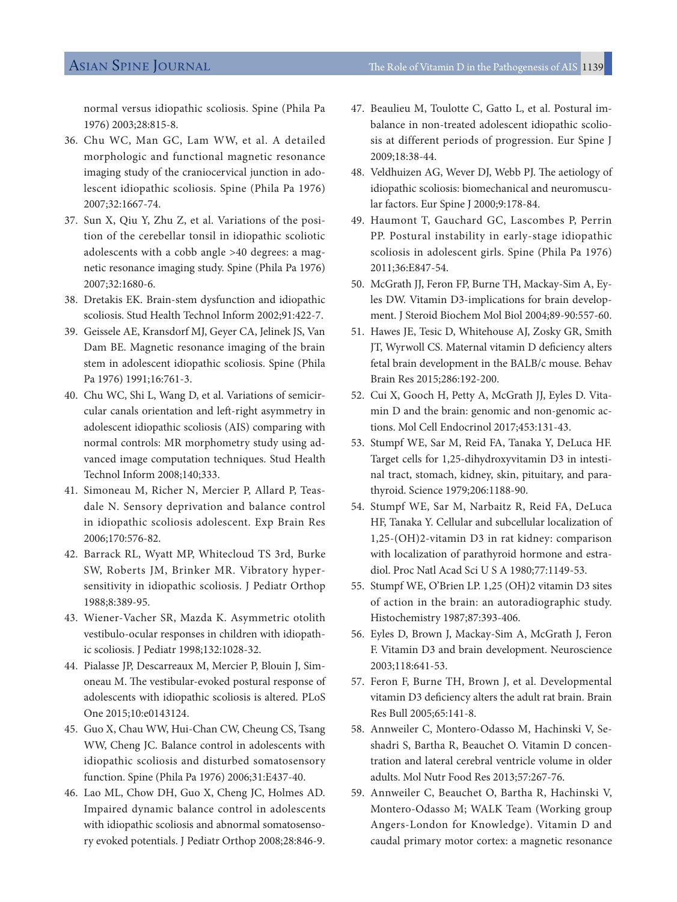normal versus idiopathic scoliosis. Spine (Phila Pa 1976) 2003;28:815-8.

- 36. Chu WC, Man GC, Lam WW, et al. A detailed morphologic and functional magnetic resonance imaging study of the craniocervical junction in adolescent idiopathic scoliosis. Spine (Phila Pa 1976) 2007;32:1667-74.
- 37. Sun X, Qiu Y, Zhu Z, et al. Variations of the position of the cerebellar tonsil in idiopathic scoliotic adolescents with a cobb angle >40 degrees: a magnetic resonance imaging study. Spine (Phila Pa 1976) 2007;32:1680-6.
- 38. Dretakis EK. Brain-stem dysfunction and idiopathic scoliosis. Stud Health Technol Inform 2002;91:422-7.
- 39. Geissele AE, Kransdorf MJ, Geyer CA, Jelinek JS, Van Dam BE. Magnetic resonance imaging of the brain stem in adolescent idiopathic scoliosis. Spine (Phila Pa 1976) 1991;16:761-3.
- 40. Chu WC, Shi L, Wang D, et al. Variations of semicircular canals orientation and left-right asymmetry in adolescent idiopathic scoliosis (AIS) comparing with normal controls: MR morphometry study using advanced image computation techniques. Stud Health Technol Inform 2008;140;333.
- 41. Simoneau M, Richer N, Mercier P, Allard P, Teasdale N. Sensory deprivation and balance control in idiopathic scoliosis adolescent. Exp Brain Res 2006;170:576-82.
- 42. Barrack RL, Wyatt MP, Whitecloud TS 3rd, Burke SW, Roberts JM, Brinker MR. Vibratory hypersensitivity in idiopathic scoliosis. J Pediatr Orthop 1988;8:389-95.
- 43. Wiener-Vacher SR, Mazda K. Asymmetric otolith vestibulo-ocular responses in children with idiopathic scoliosis. J Pediatr 1998;132:1028-32.
- 44. Pialasse JP, Descarreaux M, Mercier P, Blouin J, Simoneau M. The vestibular-evoked postural response of adolescents with idiopathic scoliosis is altered. PLoS One 2015;10:e0143124.
- 45. Guo X, Chau WW, Hui-Chan CW, Cheung CS, Tsang WW, Cheng JC. Balance control in adolescents with idiopathic scoliosis and disturbed somatosensory function. Spine (Phila Pa 1976) 2006;31:E437-40.
- 46. Lao ML, Chow DH, Guo X, Cheng JC, Holmes AD. Impaired dynamic balance control in adolescents with idiopathic scoliosis and abnormal somatosensory evoked potentials. J Pediatr Orthop 2008;28:846-9.
- 47. Beaulieu M, Toulotte C, Gatto L, et al. Postural imbalance in non-treated adolescent idiopathic scoliosis at different periods of progression. Eur Spine J 2009;18:38-44.
- 48. Veldhuizen AG, Wever DJ, Webb PJ. The aetiology of idiopathic scoliosis: biomechanical and neuromuscular factors. Eur Spine J 2000;9:178-84.
- 49. Haumont T, Gauchard GC, Lascombes P, Perrin PP. Postural instability in early-stage idiopathic scoliosis in adolescent girls. Spine (Phila Pa 1976) 2011;36:E847-54.
- 50. McGrath JJ, Feron FP, Burne TH, Mackay-Sim A, Eyles DW. Vitamin D3-implications for brain development. J Steroid Biochem Mol Biol 2004;89-90:557-60.
- 51. Hawes JE, Tesic D, Whitehouse AJ, Zosky GR, Smith JT, Wyrwoll CS. Maternal vitamin D deficiency alters fetal brain development in the BALB/c mouse. Behav Brain Res 2015;286:192-200.
- 52. Cui X, Gooch H, Petty A, McGrath JJ, Eyles D. Vitamin D and the brain: genomic and non-genomic actions. Mol Cell Endocrinol 2017;453:131-43.
- 53. Stumpf WE, Sar M, Reid FA, Tanaka Y, DeLuca HF. Target cells for 1,25-dihydroxyvitamin D3 in intestinal tract, stomach, kidney, skin, pituitary, and parathyroid. Science 1979;206:1188-90.
- 54. Stumpf WE, Sar M, Narbaitz R, Reid FA, DeLuca HF, Tanaka Y. Cellular and subcellular localization of 1,25-(OH)2-vitamin D3 in rat kidney: comparison with localization of parathyroid hormone and estradiol. Proc Natl Acad Sci U S A 1980;77:1149-53.
- 55. Stumpf WE, O'Brien LP. 1,25 (OH)2 vitamin D3 sites of action in the brain: an autoradiographic study. Histochemistry 1987;87:393-406.
- 56. Eyles D, Brown J, Mackay-Sim A, McGrath J, Feron F. Vitamin D3 and brain development. Neuroscience 2003;118:641-53.
- 57. Feron F, Burne TH, Brown J, et al. Developmental vitamin D3 defciency alters the adult rat brain. Brain Res Bull 2005;65:141-8.
- 58. Annweiler C, Montero-Odasso M, Hachinski V, Seshadri S, Bartha R, Beauchet O. Vitamin D concentration and lateral cerebral ventricle volume in older adults. Mol Nutr Food Res 2013;57:267-76.
- 59. Annweiler C, Beauchet O, Bartha R, Hachinski V, Montero-Odasso M; WALK Team (Working group Angers-London for Knowledge). Vitamin D and caudal primary motor cortex: a magnetic resonance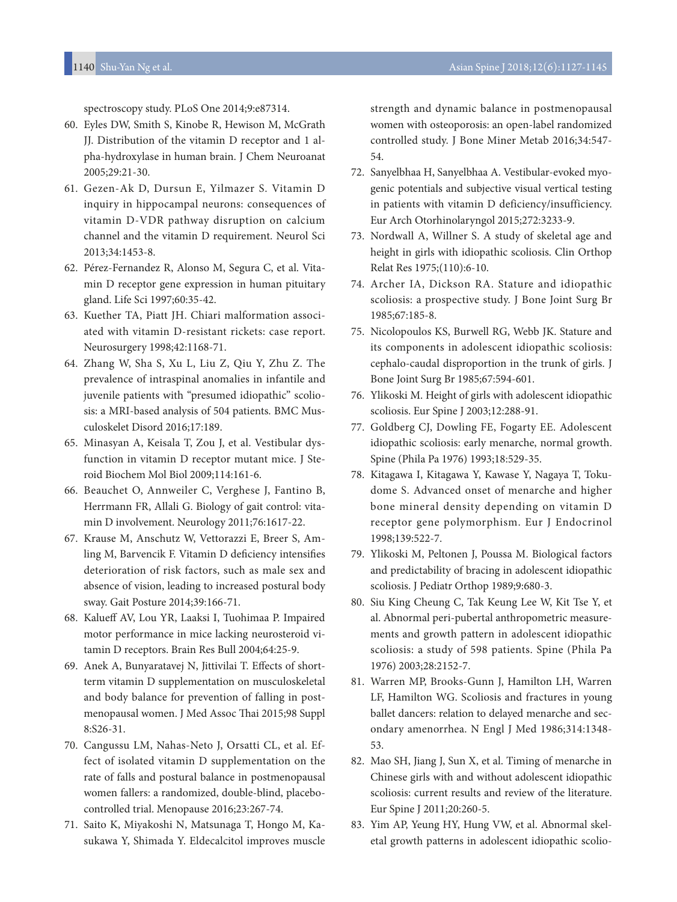spectroscopy study. PLoS One 2014;9:e87314.

- 60. Eyles DW, Smith S, Kinobe R, Hewison M, McGrath JJ. Distribution of the vitamin D receptor and 1 alpha-hydroxylase in human brain. J Chem Neuroanat 2005;29:21-30.
- 61. Gezen-Ak D, Dursun E, Yilmazer S. Vitamin D inquiry in hippocampal neurons: consequences of vitamin D-VDR pathway disruption on calcium channel and the vitamin D requirement. Neurol Sci 2013;34:1453-8.
- 62. Pérez-Fernandez R, Alonso M, Segura C, et al. Vitamin D receptor gene expression in human pituitary gland. Life Sci 1997;60:35-42.
- 63. Kuether TA, Piatt JH. Chiari malformation associated with vitamin D-resistant rickets: case report. Neurosurgery 1998;42:1168-71.
- 64. Zhang W, Sha S, Xu L, Liu Z, Qiu Y, Zhu Z. The prevalence of intraspinal anomalies in infantile and juvenile patients with "presumed idiopathic" scoliosis: a MRI-based analysis of 504 patients. BMC Musculoskelet Disord 2016;17:189.
- 65. Minasyan A, Keisala T, Zou J, et al. Vestibular dysfunction in vitamin D receptor mutant mice. J Steroid Biochem Mol Biol 2009;114:161-6.
- 66. Beauchet O, Annweiler C, Verghese J, Fantino B, Herrmann FR, Allali G. Biology of gait control: vitamin D involvement. Neurology 2011;76:1617-22.
- 67. Krause M, Anschutz W, Vettorazzi E, Breer S, Amling M, Barvencik F. Vitamin D deficiency intensifies deterioration of risk factors, such as male sex and absence of vision, leading to increased postural body sway. Gait Posture 2014;39:166-71.
- 68. Kaluef AV, Lou YR, Laaksi I, Tuohimaa P. Impaired motor performance in mice lacking neurosteroid vitamin D receptors. Brain Res Bull 2004;64:25-9.
- 69. Anek A, Bunyaratavej N, Jittivilai T. Efects of shortterm vitamin D supplementation on musculoskeletal and body balance for prevention of falling in postmenopausal women. J Med Assoc Thai 2015;98 Suppl 8:S26-31.
- 70. Cangussu LM, Nahas-Neto J, Orsatti CL, et al. Effect of isolated vitamin D supplementation on the rate of falls and postural balance in postmenopausal women fallers: a randomized, double-blind, placebocontrolled trial. Menopause 2016;23:267-74.
- 71. Saito K, Miyakoshi N, Matsunaga T, Hongo M, Kasukawa Y, Shimada Y. Eldecalcitol improves muscle

strength and dynamic balance in postmenopausal women with osteoporosis: an open-label randomized controlled study. J Bone Miner Metab 2016;34:547- 54.

- 72. Sanyelbhaa H, Sanyelbhaa A. Vestibular-evoked myogenic potentials and subjective visual vertical testing in patients with vitamin D deficiency/insufficiency. Eur Arch Otorhinolaryngol 2015;272:3233-9.
- 73. Nordwall A, Willner S. A study of skeletal age and height in girls with idiopathic scoliosis. Clin Orthop Relat Res 1975;(110):6-10.
- 74. Archer IA, Dickson RA. Stature and idiopathic scoliosis: a prospective study. J Bone Joint Surg Br 1985;67:185-8.
- 75. Nicolopoulos KS, Burwell RG, Webb JK. Stature and its components in adolescent idiopathic scoliosis: cephalo-caudal disproportion in the trunk of girls. J Bone Joint Surg Br 1985;67:594-601.
- 76. Ylikoski M. Height of girls with adolescent idiopathic scoliosis. Eur Spine J 2003;12:288-91.
- 77. Goldberg CJ, Dowling FE, Fogarty EE. Adolescent idiopathic scoliosis: early menarche, normal growth. Spine (Phila Pa 1976) 1993;18:529-35.
- 78. Kitagawa I, Kitagawa Y, Kawase Y, Nagaya T, Tokudome S. Advanced onset of menarche and higher bone mineral density depending on vitamin D receptor gene polymorphism. Eur J Endocrinol 1998;139:522-7.
- 79. Ylikoski M, Peltonen J, Poussa M. Biological factors and predictability of bracing in adolescent idiopathic scoliosis. J Pediatr Orthop 1989;9:680-3.
- 80. Siu King Cheung C, Tak Keung Lee W, Kit Tse Y, et al. Abnormal peri-pubertal anthropometric measurements and growth pattern in adolescent idiopathic scoliosis: a study of 598 patients. Spine (Phila Pa 1976) 2003;28:2152-7.
- 81. Warren MP, Brooks-Gunn J, Hamilton LH, Warren LF, Hamilton WG. Scoliosis and fractures in young ballet dancers: relation to delayed menarche and secondary amenorrhea. N Engl J Med 1986;314:1348- 53.
- 82. Mao SH, Jiang J, Sun X, et al. Timing of menarche in Chinese girls with and without adolescent idiopathic scoliosis: current results and review of the literature. Eur Spine J 2011;20:260-5.
- 83. Yim AP, Yeung HY, Hung VW, et al. Abnormal skeletal growth patterns in adolescent idiopathic scolio-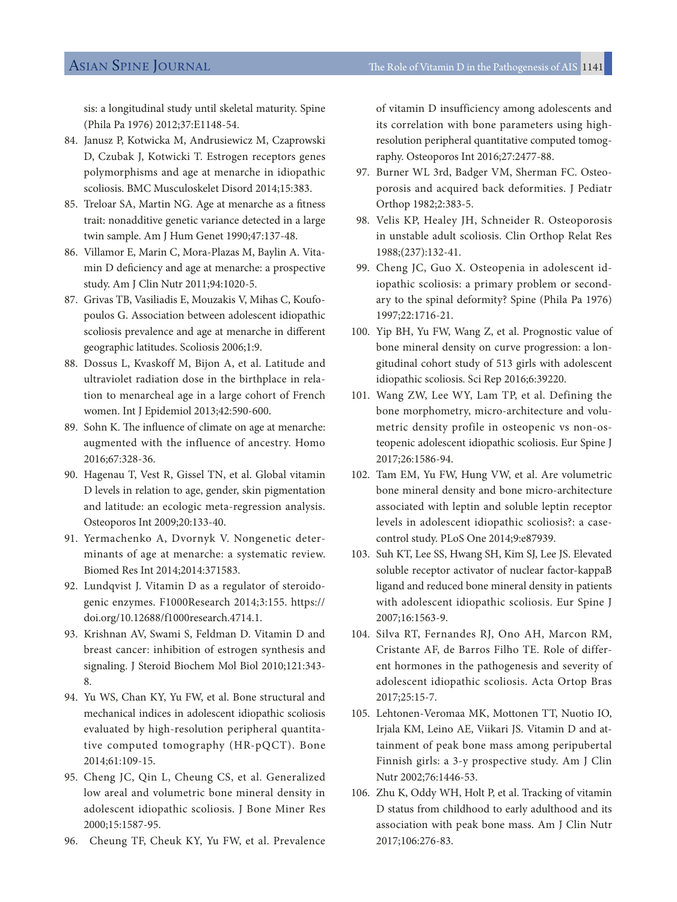sis: a longitudinal study until skeletal maturity. Spine (Phila Pa 1976) 2012;37:E1148-54.

- 84. Janusz P, Kotwicka M, Andrusiewicz M, Czaprowski D, Czubak J, Kotwicki T. Estrogen receptors genes polymorphisms and age at menarche in idiopathic scoliosis. BMC Musculoskelet Disord 2014;15:383.
- 85. Treloar SA, Martin NG. Age at menarche as a ftness trait: nonadditive genetic variance detected in a large twin sample. Am J Hum Genet 1990;47:137-48.
- 86. Villamor E, Marin C, Mora-Plazas M, Baylin A. Vitamin D defciency and age at menarche: a prospective study. Am J Clin Nutr 2011;94:1020-5.
- 87. Grivas TB, Vasiliadis E, Mouzakis V, Mihas C, Koufopoulos G. Association between adolescent idiopathic scoliosis prevalence and age at menarche in diferent geographic latitudes. Scoliosis 2006;1:9.
- 88. Dossus L, Kvaskoff M, Bijon A, et al. Latitude and ultraviolet radiation dose in the birthplace in relation to menarcheal age in a large cohort of French women. Int J Epidemiol 2013;42:590-600.
- 89. Sohn K. The influence of climate on age at menarche: augmented with the influence of ancestry. Homo 2016;67:328-36.
- 90. Hagenau T, Vest R, Gissel TN, et al. Global vitamin D levels in relation to age, gender, skin pigmentation and latitude: an ecologic meta-regression analysis. Osteoporos Int 2009;20:133-40.
- 91. Yermachenko A, Dvornyk V. Nongenetic determinants of age at menarche: a systematic review. Biomed Res Int 2014;2014:371583.
- 92. Lundqvist J. Vitamin D as a regulator of steroidogenic enzymes. F1000Research 2014;3:155. https:// doi.org/10.12688/f1000research.4714.1.
- 93. Krishnan AV, Swami S, Feldman D. Vitamin D and breast cancer: inhibition of estrogen synthesis and signaling. J Steroid Biochem Mol Biol 2010;121:343- 8.
- 94. Yu WS, Chan KY, Yu FW, et al. Bone structural and mechanical indices in adolescent idiopathic scoliosis evaluated by high-resolution peripheral quantitative computed tomography (HR-pQCT). Bone 2014;61:109-15.
- 95. Cheng JC, Qin L, Cheung CS, et al. Generalized low areal and volumetric bone mineral density in adolescent idiopathic scoliosis. J Bone Miner Res 2000;15:1587-95.
- 96. Cheung TF, Cheuk KY, Yu FW, et al. Prevalence

of vitamin D insufficiency among adolescents and its correlation with bone parameters using highresolution peripheral quantitative computed tomography. Osteoporos Int 2016;27:2477-88.

- 97. Burner WL 3rd, Badger VM, Sherman FC. Osteoporosis and acquired back deformities. J Pediatr Orthop 1982;2:383-5.
- 98. Velis KP, Healey JH, Schneider R. Osteoporosis in unstable adult scoliosis. Clin Orthop Relat Res 1988;(237):132-41.
- 99. Cheng JC, Guo X. Osteopenia in adolescent idiopathic scoliosis: a primary problem or secondary to the spinal deformity? Spine (Phila Pa 1976) 1997;22:1716-21.
- 100. Yip BH, Yu FW, Wang Z, et al. Prognostic value of bone mineral density on curve progression: a longitudinal cohort study of 513 girls with adolescent idiopathic scoliosis. Sci Rep 2016;6:39220.
- 101. Wang ZW, Lee WY, Lam TP, et al. Defining the bone morphometry, micro-architecture and volumetric density profile in osteopenic vs non-osteopenic adolescent idiopathic scoliosis. Eur Spine J 2017;26:1586-94.
- 102. Tam EM, Yu FW, Hung VW, et al. Are volumetric bone mineral density and bone micro-architecture associated with leptin and soluble leptin receptor levels in adolescent idiopathic scoliosis?: a casecontrol study. PLoS One 2014;9:e87939.
- 103. Suh KT, Lee SS, Hwang SH, Kim SJ, Lee JS. Elevated soluble receptor activator of nuclear factor-kappaB ligand and reduced bone mineral density in patients with adolescent idiopathic scoliosis. Eur Spine J 2007;16:1563-9.
- 104. Silva RT, Fernandes RJ, Ono AH, Marcon RM, Cristante AF, de Barros Filho TE. Role of different hormones in the pathogenesis and severity of adolescent idiopathic scoliosis. Acta Ortop Bras 2017;25:15-7.
- 105. Lehtonen-Veromaa MK, Mottonen TT, Nuotio IO, Irjala KM, Leino AE, Viikari JS. Vitamin D and attainment of peak bone mass among peripubertal Finnish girls: a 3-y prospective study. Am J Clin Nutr 2002;76:1446-53.
- 106. Zhu K, Oddy WH, Holt P, et al. Tracking of vitamin D status from childhood to early adulthood and its association with peak bone mass. Am J Clin Nutr 2017;106:276-83.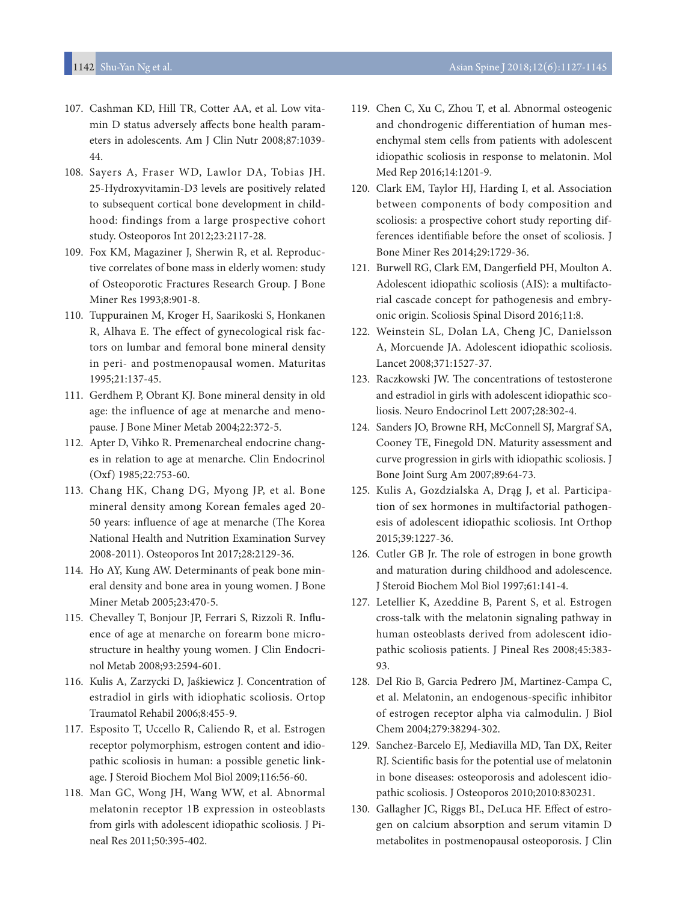- 107. Cashman KD, Hill TR, Cotter AA, et al. Low vitamin D status adversely affects bone health parameters in adolescents. Am J Clin Nutr 2008;87:1039- 44.
- 108. Sayers A, Fraser WD, Lawlor DA, Tobias JH. 25-Hydroxyvitamin-D3 levels are positively related to subsequent cortical bone development in childhood: findings from a large prospective cohort study. Osteoporos Int 2012;23:2117-28.
- 109. Fox KM, Magaziner J, Sherwin R, et al. Reproductive correlates of bone mass in elderly women: study of Osteoporotic Fractures Research Group. J Bone Miner Res 1993;8:901-8.
- 110. Tuppurainen M, Kroger H, Saarikoski S, Honkanen R, Alhava E. The effect of gynecological risk factors on lumbar and femoral bone mineral density in peri- and postmenopausal women. Maturitas 1995;21:137-45.
- 111. Gerdhem P, Obrant KJ. Bone mineral density in old age: the influence of age at menarche and menopause. J Bone Miner Metab 2004;22:372-5.
- 112. Apter D, Vihko R. Premenarcheal endocrine changes in relation to age at menarche. Clin Endocrinol (Oxf) 1985;22:753-60.
- 113. Chang HK, Chang DG, Myong JP, et al. Bone mineral density among Korean females aged 20- 50 years: influence of age at menarche (The Korea National Health and Nutrition Examination Survey 2008-2011). Osteoporos Int 2017;28:2129-36.
- 114. Ho AY, Kung AW. Determinants of peak bone mineral density and bone area in young women. J Bone Miner Metab 2005;23:470-5.
- 115. Chevalley T, Bonjour JP, Ferrari S, Rizzoli R. Infuence of age at menarche on forearm bone microstructure in healthy young women. J Clin Endocrinol Metab 2008;93:2594-601.
- 116. Kulis A, Zarzycki D, Jaśkiewicz J. Concentration of estradiol in girls with idiophatic scoliosis. Ortop Traumatol Rehabil 2006;8:455-9.
- 117. Esposito T, Uccello R, Caliendo R, et al. Estrogen receptor polymorphism, estrogen content and idiopathic scoliosis in human: a possible genetic linkage. J Steroid Biochem Mol Biol 2009;116:56-60.
- 118. Man GC, Wong JH, Wang WW, et al. Abnormal melatonin receptor 1B expression in osteoblasts from girls with adolescent idiopathic scoliosis. J Pineal Res 2011;50:395-402.
- 119. Chen C, Xu C, Zhou T, et al. Abnormal osteogenic and chondrogenic differentiation of human mesenchymal stem cells from patients with adolescent idiopathic scoliosis in response to melatonin. Mol Med Rep 2016;14:1201-9.
- 120. Clark EM, Taylor HJ, Harding I, et al. Association between components of body composition and scoliosis: a prospective cohort study reporting differences identifable before the onset of scoliosis. J Bone Miner Res 2014;29:1729-36.
- 121. Burwell RG, Clark EM, Dangerfeld PH, Moulton A. Adolescent idiopathic scoliosis (AIS): a multifactorial cascade concept for pathogenesis and embryonic origin. Scoliosis Spinal Disord 2016;11:8.
- 122. Weinstein SL, Dolan LA, Cheng JC, Danielsson A, Morcuende JA. Adolescent idiopathic scoliosis. Lancet 2008;371:1527-37.
- 123. Raczkowski JW. The concentrations of testosterone and estradiol in girls with adolescent idiopathic scoliosis. Neuro Endocrinol Lett 2007;28:302-4.
- 124. Sanders JO, Browne RH, McConnell SJ, Margraf SA, Cooney TE, Finegold DN. Maturity assessment and curve progression in girls with idiopathic scoliosis. J Bone Joint Surg Am 2007;89:64-73.
- 125. Kulis A, Gozdzialska A, Drąg J, et al. Participation of sex hormones in multifactorial pathogenesis of adolescent idiopathic scoliosis. Int Orthop 2015;39:1227-36.
- 126. Cutler GB Jr. The role of estrogen in bone growth and maturation during childhood and adolescence. J Steroid Biochem Mol Biol 1997;61:141-4.
- 127. Letellier K, Azeddine B, Parent S, et al. Estrogen cross-talk with the melatonin signaling pathway in human osteoblasts derived from adolescent idiopathic scoliosis patients. J Pineal Res 2008;45:383- 93.
- 128. Del Rio B, Garcia Pedrero JM, Martinez-Campa C, et al. Melatonin, an endogenous-specific inhibitor of estrogen receptor alpha via calmodulin. J Biol Chem 2004;279:38294-302.
- 129. Sanchez-Barcelo EJ, Mediavilla MD, Tan DX, Reiter RJ. Scientifc basis for the potential use of melatonin in bone diseases: osteoporosis and adolescent idiopathic scoliosis. J Osteoporos 2010;2010:830231.
- 130. Gallagher JC, Riggs BL, DeLuca HF. Efect of estrogen on calcium absorption and serum vitamin D metabolites in postmenopausal osteoporosis. J Clin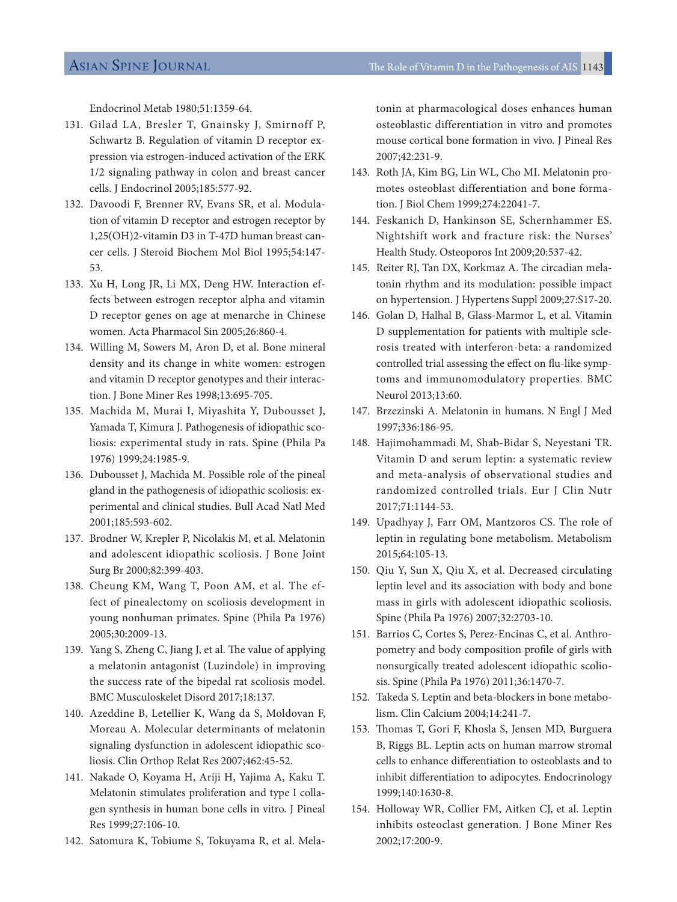Endocrinol Metab 1980;51:1359-64.

- 131. Gilad LA, Bresler T, Gnainsky J, Smirnoff P, Schwartz B. Regulation of vitamin D receptor expression via estrogen-induced activation of the ERK 1/2 signaling pathway in colon and breast cancer cells. J Endocrinol 2005;185:577-92.
- 132. Davoodi F, Brenner RV, Evans SR, et al. Modulation of vitamin D receptor and estrogen receptor by 1,25(OH)2-vitamin D3 in T-47D human breast cancer cells. J Steroid Biochem Mol Biol 1995;54:147- 53.
- 133. Xu H, Long JR, Li MX, Deng HW. Interaction effects between estrogen receptor alpha and vitamin D receptor genes on age at menarche in Chinese women. Acta Pharmacol Sin 2005;26:860-4.
- 134. Willing M, Sowers M, Aron D, et al. Bone mineral density and its change in white women: estrogen and vitamin D receptor genotypes and their interaction. J Bone Miner Res 1998;13:695-705.
- 135. Machida M, Murai I, Miyashita Y, Dubousset J, Yamada T, Kimura J. Pathogenesis of idiopathic scoliosis: experimental study in rats. Spine (Phila Pa 1976) 1999;24:1985-9.
- 136. Dubousset J, Machida M. Possible role of the pineal gland in the pathogenesis of idiopathic scoliosis: experimental and clinical studies. Bull Acad Natl Med 2001;185:593-602.
- 137. Brodner W, Krepler P, Nicolakis M, et al. Melatonin and adolescent idiopathic scoliosis. J Bone Joint Surg Br 2000;82:399-403.
- 138. Cheung KM, Wang T, Poon AM, et al. The effect of pinealectomy on scoliosis development in young nonhuman primates. Spine (Phila Pa 1976) 2005;30:2009-13.
- 139. Yang S, Zheng C, Jiang J, et al. The value of applying a melatonin antagonist (Luzindole) in improving the success rate of the bipedal rat scoliosis model. BMC Musculoskelet Disord 2017;18:137.
- 140. Azeddine B, Letellier K, Wang da S, Moldovan F, Moreau A. Molecular determinants of melatonin signaling dysfunction in adolescent idiopathic scoliosis. Clin Orthop Relat Res 2007;462:45-52.
- 141. Nakade O, Koyama H, Ariji H, Yajima A, Kaku T. Melatonin stimulates proliferation and type I collagen synthesis in human bone cells in vitro. J Pineal Res 1999;27:106-10.
- 142. Satomura K, Tobiume S, Tokuyama R, et al. Mela-

tonin at pharmacological doses enhances human osteoblastic differentiation in vitro and promotes mouse cortical bone formation in vivo. J Pineal Res 2007;42:231-9.

- 143. Roth JA, Kim BG, Lin WL, Cho MI. Melatonin promotes osteoblast differentiation and bone formation. J Biol Chem 1999;274:22041-7.
- 144. Feskanich D, Hankinson SE, Schernhammer ES. Nightshift work and fracture risk: the Nurses' Health Study. Osteoporos Int 2009;20:537-42.
- 145. Reiter RJ, Tan DX, Korkmaz A. The circadian melatonin rhythm and its modulation: possible impact on hypertension. J Hypertens Suppl 2009;27:S17-20.
- 146. Golan D, Halhal B, Glass-Marmor L, et al. Vitamin D supplementation for patients with multiple sclerosis treated with interferon-beta: a randomized controlled trial assessing the efect on fu-like symptoms and immunomodulatory properties. BMC Neurol 2013;13:60.
- 147. Brzezinski A. Melatonin in humans. N Engl J Med 1997;336:186-95.
- 148. Hajimohammadi M, Shab-Bidar S, Neyestani TR. Vitamin D and serum leptin: a systematic review and meta-analysis of observational studies and randomized controlled trials. Eur J Clin Nutr 2017;71:1144-53.
- 149. Upadhyay J, Farr OM, Mantzoros CS. The role of leptin in regulating bone metabolism. Metabolism 2015;64:105-13.
- 150. Qiu Y, Sun X, Qiu X, et al. Decreased circulating leptin level and its association with body and bone mass in girls with adolescent idiopathic scoliosis. Spine (Phila Pa 1976) 2007;32:2703-10.
- 151. Barrios C, Cortes S, Perez-Encinas C, et al. Anthropometry and body composition profle of girls with nonsurgically treated adolescent idiopathic scoliosis. Spine (Phila Pa 1976) 2011;36:1470-7.
- 152. Takeda S. Leptin and beta-blockers in bone metabolism. Clin Calcium 2004;14:241-7.
- 153. Thomas T, Gori F, Khosla S, Jensen MD, Burguera B, Riggs BL. Leptin acts on human marrow stromal cells to enhance diferentiation to osteoblasts and to inhibit diferentiation to adipocytes. Endocrinology 1999;140:1630-8.
- 154. Holloway WR, Collier FM, Aitken CJ, et al. Leptin inhibits osteoclast generation. J Bone Miner Res 2002;17:200-9.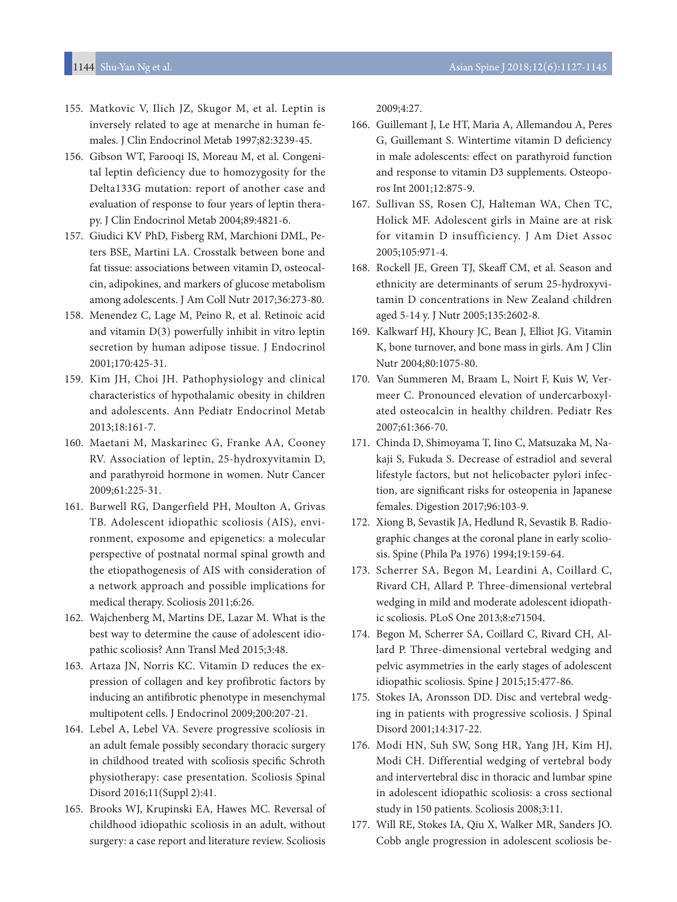- 155. Matkovic V, Ilich JZ, Skugor M, et al. Leptin is inversely related to age at menarche in human females. J Clin Endocrinol Metab 1997;82:3239-45.
- 156. Gibson WT, Farooqi IS, Moreau M, et al. Congenital leptin deficiency due to homozygosity for the Delta133G mutation: report of another case and evaluation of response to four years of leptin therapy. J Clin Endocrinol Metab 2004;89:4821-6.
- 157. Giudici KV PhD, Fisberg RM, Marchioni DML, Peters BSE, Martini LA. Crosstalk between bone and fat tissue: associations between vitamin D, osteocalcin, adipokines, and markers of glucose metabolism among adolescents. J Am Coll Nutr 2017;36:273-80.
- 158. Menendez C, Lage M, Peino R, et al. Retinoic acid and vitamin D(3) powerfully inhibit in vitro leptin secretion by human adipose tissue. J Endocrinol 2001;170:425-31.
- 159. Kim JH, Choi JH. Pathophysiology and clinical characteristics of hypothalamic obesity in children and adolescents. Ann Pediatr Endocrinol Metab 2013;18:161-7.
- 160. Maetani M, Maskarinec G, Franke AA, Cooney RV. Association of leptin, 25-hydroxyvitamin D, and parathyroid hormone in women. Nutr Cancer 2009;61:225-31.
- 161. Burwell RG, Dangerfield PH, Moulton A, Grivas TB. Adolescent idiopathic scoliosis (AIS), environment, exposome and epigenetics: a molecular perspective of postnatal normal spinal growth and the etiopathogenesis of AIS with consideration of a network approach and possible implications for medical therapy. Scoliosis 2011;6:26.
- 162. Wajchenberg M, Martins DE, Lazar M. What is the best way to determine the cause of adolescent idiopathic scoliosis? Ann Transl Med 2015;3:48.
- 163. Artaza JN, Norris KC. Vitamin D reduces the expression of collagen and key profibrotic factors by inducing an antifbrotic phenotype in mesenchymal multipotent cells. J Endocrinol 2009;200:207-21.
- 164. Lebel A, Lebel VA. Severe progressive scoliosis in an adult female possibly secondary thoracic surgery in childhood treated with scoliosis specifc Schroth physiotherapy: case presentation. Scoliosis Spinal Disord 2016;11(Suppl 2):41.
- 165. Brooks WJ, Krupinski EA, Hawes MC. Reversal of childhood idiopathic scoliosis in an adult, without surgery: a case report and literature review. Scoliosis

2009;4:27.

- 166. Guillemant J, Le HT, Maria A, Allemandou A, Peres G, Guillemant S. Wintertime vitamin D defciency in male adolescents: efect on parathyroid function and response to vitamin D3 supplements. Osteoporos Int 2001;12:875-9.
- 167. Sullivan SS, Rosen CJ, Halteman WA, Chen TC, Holick MF. Adolescent girls in Maine are at risk for vitamin D insufficiency. J Am Diet Assoc 2005;105:971-4.
- 168. Rockell JE, Green TJ, Skeaff CM, et al. Season and ethnicity are determinants of serum 25-hydroxyvitamin D concentrations in New Zealand children aged 5-14 y. J Nutr 2005;135:2602-8.
- 169. Kalkwarf HJ, Khoury JC, Bean J, Elliot JG. Vitamin K, bone turnover, and bone mass in girls. Am J Clin Nutr 2004;80:1075-80.
- 170. Van Summeren M, Braam L, Noirt F, Kuis W, Vermeer C. Pronounced elevation of undercarboxylated osteocalcin in healthy children. Pediatr Res 2007;61:366-70.
- 171. Chinda D, Shimoyama T, Iino C, Matsuzaka M, Nakaji S, Fukuda S. Decrease of estradiol and several lifestyle factors, but not helicobacter pylori infection, are signifcant risks for osteopenia in Japanese females. Digestion 2017;96:103-9.
- 172. Xiong B, Sevastik JA, Hedlund R, Sevastik B. Radiographic changes at the coronal plane in early scoliosis. Spine (Phila Pa 1976) 1994;19:159-64.
- 173. Scherrer SA, Begon M, Leardini A, Coillard C, Rivard CH, Allard P. Three-dimensional vertebral wedging in mild and moderate adolescent idiopathic scoliosis. PLoS One 2013;8:e71504.
- 174. Begon M, Scherrer SA, Coillard C, Rivard CH, Allard P. Three-dimensional vertebral wedging and pelvic asymmetries in the early stages of adolescent idiopathic scoliosis. Spine J 2015;15:477-86.
- 175. Stokes IA, Aronsson DD. Disc and vertebral wedging in patients with progressive scoliosis. J Spinal Disord 2001;14:317-22.
- 176. Modi HN, Suh SW, Song HR, Yang JH, Kim HJ, Modi CH. Differential wedging of vertebral body and intervertebral disc in thoracic and lumbar spine in adolescent idiopathic scoliosis: a cross sectional study in 150 patients. Scoliosis 2008;3:11.
- 177. Will RE, Stokes IA, Qiu X, Walker MR, Sanders JO. Cobb angle progression in adolescent scoliosis be-